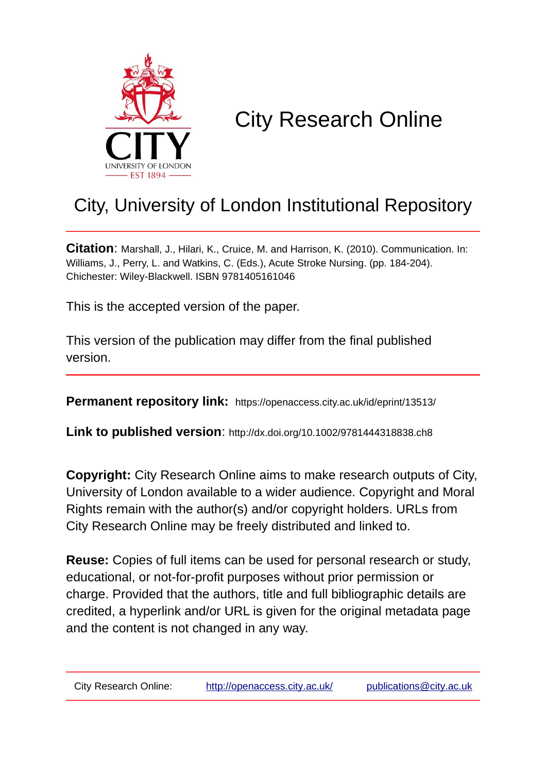

# City Research Online

# City, University of London Institutional Repository

**Citation**: Marshall, J., Hilari, K., Cruice, M. and Harrison, K. (2010). Communication. In: Williams, J., Perry, L. and Watkins, C. (Eds.), Acute Stroke Nursing. (pp. 184-204). Chichester: Wiley-Blackwell. ISBN 9781405161046

This is the accepted version of the paper.

This version of the publication may differ from the final published version.

**Permanent repository link:** https://openaccess.city.ac.uk/id/eprint/13513/

**Link to published version**: http://dx.doi.org/10.1002/9781444318838.ch8

**Copyright:** City Research Online aims to make research outputs of City, University of London available to a wider audience. Copyright and Moral Rights remain with the author(s) and/or copyright holders. URLs from City Research Online may be freely distributed and linked to.

**Reuse:** Copies of full items can be used for personal research or study, educational, or not-for-profit purposes without prior permission or charge. Provided that the authors, title and full bibliographic details are credited, a hyperlink and/or URL is given for the original metadata page and the content is not changed in any way.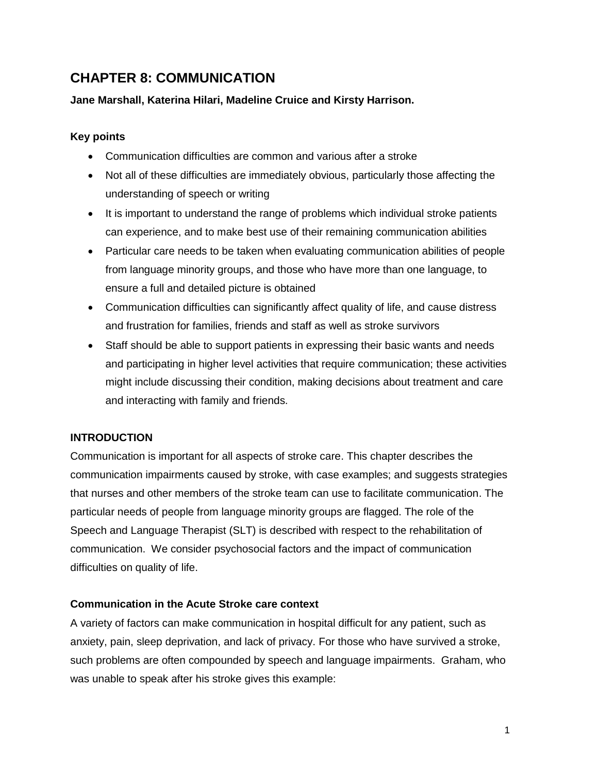# **CHAPTER 8: COMMUNICATION**

# **Jane Marshall, Katerina Hilari, Madeline Cruice and Kirsty Harrison.**

# **Key points**

- Communication difficulties are common and various after a stroke
- Not all of these difficulties are immediately obvious, particularly those affecting the understanding of speech or writing
- It is important to understand the range of problems which individual stroke patients can experience, and to make best use of their remaining communication abilities
- Particular care needs to be taken when evaluating communication abilities of people from language minority groups, and those who have more than one language, to ensure a full and detailed picture is obtained
- Communication difficulties can significantly affect quality of life, and cause distress and frustration for families, friends and staff as well as stroke survivors
- Staff should be able to support patients in expressing their basic wants and needs and participating in higher level activities that require communication; these activities might include discussing their condition, making decisions about treatment and care and interacting with family and friends.

# **INTRODUCTION**

Communication is important for all aspects of stroke care. This chapter describes the communication impairments caused by stroke, with case examples; and suggests strategies that nurses and other members of the stroke team can use to facilitate communication. The particular needs of people from language minority groups are flagged. The role of the Speech and Language Therapist (SLT) is described with respect to the rehabilitation of communication. We consider psychosocial factors and the impact of communication difficulties on quality of life.

# **Communication in the Acute Stroke care context**

A variety of factors can make communication in hospital difficult for any patient, such as anxiety, pain, sleep deprivation, and lack of privacy. For those who have survived a stroke, such problems are often compounded by speech and language impairments. Graham, who was unable to speak after his stroke gives this example: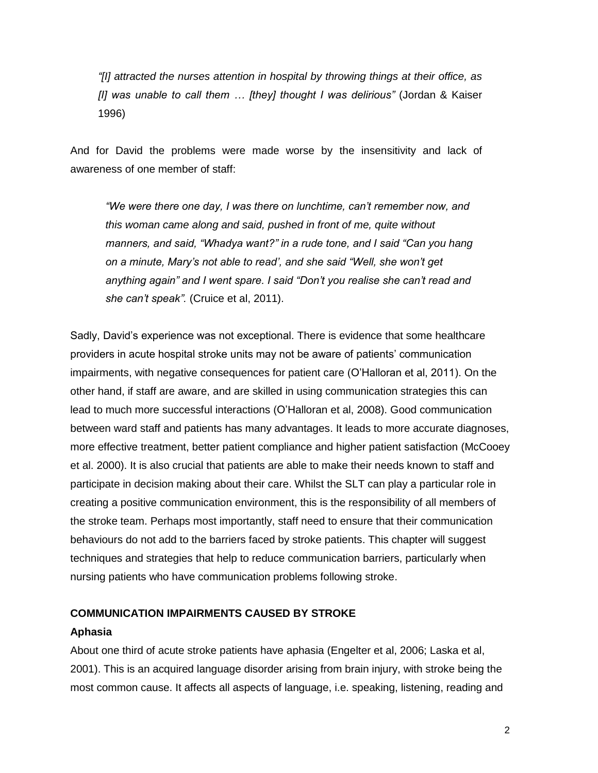*"[I] attracted the nurses attention in hospital by throwing things at their office, as [I] was unable to call them … [they] thought I was delirious"* (Jordan & Kaiser 1996)

And for David the problems were made worse by the insensitivity and lack of awareness of one member of staff:

*"We were there one day, I was there on lunchtime, can't remember now, and this woman came along and said, pushed in front of me, quite without manners, and said, "Whadya want?" in a rude tone, and I said "Can you hang on a minute, Mary's not able to read', and she said "Well, she won't get anything again" and I went spare. I said "Don't you realise she can't read and she can't speak".* (Cruice et al, 2011).

Sadly, David's experience was not exceptional. There is evidence that some healthcare providers in acute hospital stroke units may not be aware of patients' communication impairments, with negative consequences for patient care (O'Halloran et al, 2011). On the other hand, if staff are aware, and are skilled in using communication strategies this can lead to much more successful interactions (O'Halloran et al, 2008). Good communication between ward staff and patients has many advantages. It leads to more accurate diagnoses, more effective treatment, better patient compliance and higher patient satisfaction (McCooey et al. 2000). It is also crucial that patients are able to make their needs known to staff and participate in decision making about their care. Whilst the SLT can play a particular role in creating a positive communication environment, this is the responsibility of all members of the stroke team. Perhaps most importantly, staff need to ensure that their communication behaviours do not add to the barriers faced by stroke patients. This chapter will suggest techniques and strategies that help to reduce communication barriers, particularly when nursing patients who have communication problems following stroke.

# **COMMUNICATION IMPAIRMENTS CAUSED BY STROKE**

#### **Aphasia**

About one third of acute stroke patients have aphasia (Engelter et al, 2006; Laska et al, 2001). This is an acquired language disorder arising from brain injury, with stroke being the most common cause. It affects all aspects of language, i.e. speaking, listening, reading and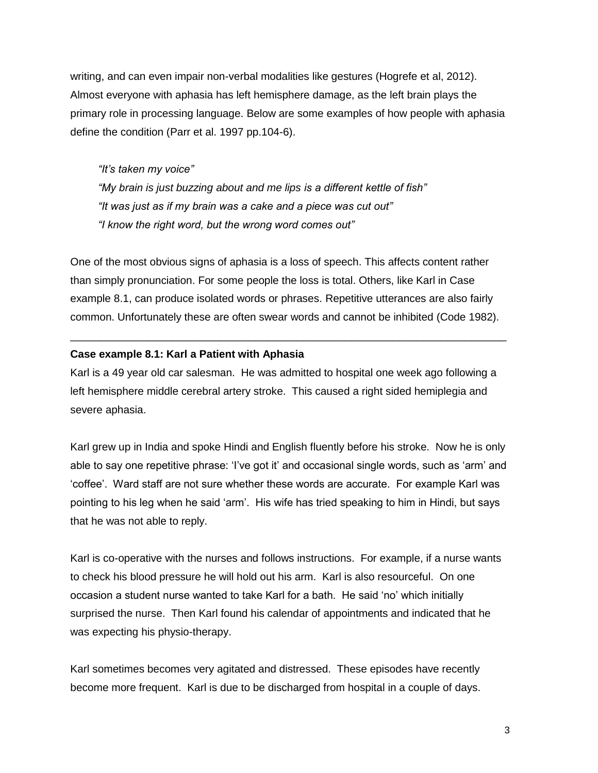writing, and can even impair non-verbal modalities like gestures (Hogrefe et al, 2012). Almost everyone with aphasia has left hemisphere damage, as the left brain plays the primary role in processing language. Below are some examples of how people with aphasia define the condition (Parr et al. 1997 pp.104-6).

*"It's taken my voice" "My brain is just buzzing about and me lips is a different kettle of fish" "It was just as if my brain was a cake and a piece was cut out" "I know the right word, but the wrong word comes out"*

One of the most obvious signs of aphasia is a loss of speech. This affects content rather than simply pronunciation. For some people the loss is total. Others, like Karl in Case example 8.1, can produce isolated words or phrases. Repetitive utterances are also fairly common. Unfortunately these are often swear words and cannot be inhibited (Code 1982).

\_\_\_\_\_\_\_\_\_\_\_\_\_\_\_\_\_\_\_\_\_\_\_\_\_\_\_\_\_\_\_\_\_\_\_\_\_\_\_\_\_\_\_\_\_\_\_\_\_\_\_\_\_\_\_\_\_\_\_\_\_\_\_\_\_\_\_\_\_\_\_\_\_

#### **Case example 8.1: Karl a Patient with Aphasia**

Karl is a 49 year old car salesman. He was admitted to hospital one week ago following a left hemisphere middle cerebral artery stroke. This caused a right sided hemiplegia and severe aphasia.

Karl grew up in India and spoke Hindi and English fluently before his stroke. Now he is only able to say one repetitive phrase: 'I've got it' and occasional single words, such as 'arm' and 'coffee'. Ward staff are not sure whether these words are accurate. For example Karl was pointing to his leg when he said 'arm'. His wife has tried speaking to him in Hindi, but says that he was not able to reply.

Karl is co-operative with the nurses and follows instructions. For example, if a nurse wants to check his blood pressure he will hold out his arm. Karl is also resourceful. On one occasion a student nurse wanted to take Karl for a bath. He said 'no' which initially surprised the nurse. Then Karl found his calendar of appointments and indicated that he was expecting his physio-therapy.

Karl sometimes becomes very agitated and distressed. These episodes have recently become more frequent. Karl is due to be discharged from hospital in a couple of days.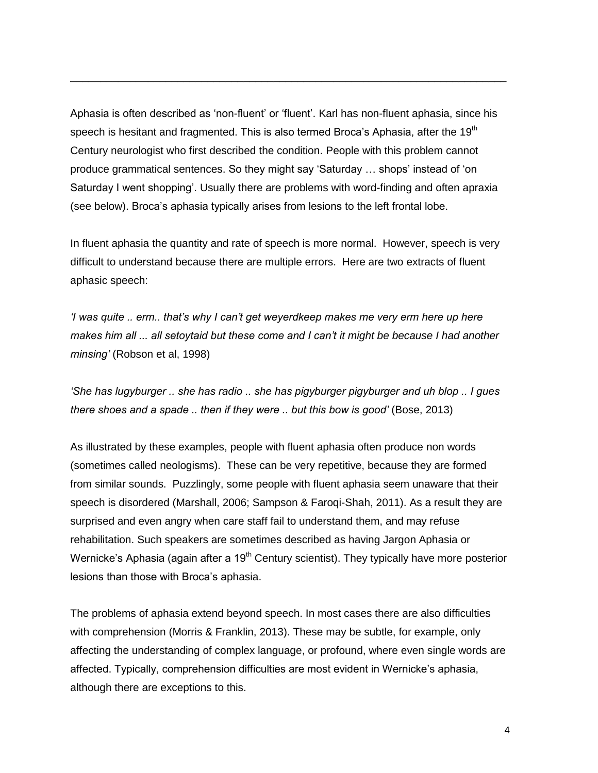Aphasia is often described as 'non-fluent' or 'fluent'. Karl has non-fluent aphasia, since his speech is hesitant and fragmented. This is also termed Broca's Aphasia, after the  $19<sup>th</sup>$ Century neurologist who first described the condition. People with this problem cannot produce grammatical sentences. So they might say 'Saturday … shops' instead of 'on Saturday I went shopping'. Usually there are problems with word-finding and often apraxia (see below). Broca's aphasia typically arises from lesions to the left frontal lobe.

\_\_\_\_\_\_\_\_\_\_\_\_\_\_\_\_\_\_\_\_\_\_\_\_\_\_\_\_\_\_\_\_\_\_\_\_\_\_\_\_\_\_\_\_\_\_\_\_\_\_\_\_\_\_\_\_\_\_\_\_\_\_\_\_\_\_\_\_\_\_\_\_\_

In fluent aphasia the quantity and rate of speech is more normal. However, speech is very difficult to understand because there are multiple errors. Here are two extracts of fluent aphasic speech:

*'I was quite .. erm.. that's why I can't get weyerdkeep makes me very erm here up here makes him all ... all setoytaid but these come and I can't it might be because I had another minsing'* (Robson et al, 1998)

*'She has lugyburger .. she has radio .. she has pigyburger pigyburger and uh blop .. I gues there shoes and a spade .. then if they were .. but this bow is good'* (Bose, 2013)

As illustrated by these examples, people with fluent aphasia often produce non words (sometimes called neologisms). These can be very repetitive, because they are formed from similar sounds. Puzzlingly, some people with fluent aphasia seem unaware that their speech is disordered (Marshall, 2006; Sampson & Faroqi-Shah, 2011). As a result they are surprised and even angry when care staff fail to understand them, and may refuse rehabilitation. Such speakers are sometimes described as having Jargon Aphasia or Wernicke's Aphasia (again after a  $19<sup>th</sup>$  Century scientist). They typically have more posterior lesions than those with Broca's aphasia.

The problems of aphasia extend beyond speech. In most cases there are also difficulties with comprehension (Morris & Franklin, 2013). These may be subtle, for example, only affecting the understanding of complex language, or profound, where even single words are affected. Typically, comprehension difficulties are most evident in Wernicke's aphasia, although there are exceptions to this.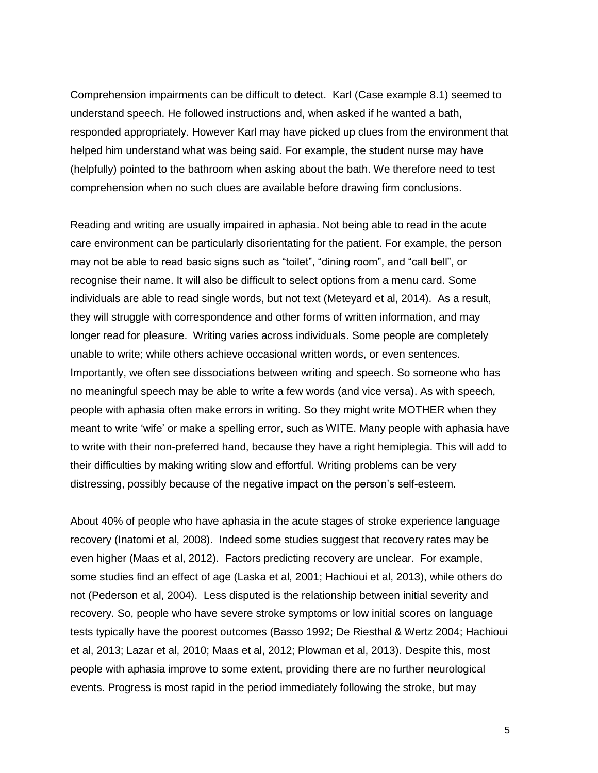Comprehension impairments can be difficult to detect. Karl (Case example 8.1) seemed to understand speech. He followed instructions and, when asked if he wanted a bath, responded appropriately. However Karl may have picked up clues from the environment that helped him understand what was being said. For example, the student nurse may have (helpfully) pointed to the bathroom when asking about the bath. We therefore need to test comprehension when no such clues are available before drawing firm conclusions.

Reading and writing are usually impaired in aphasia. Not being able to read in the acute care environment can be particularly disorientating for the patient. For example, the person may not be able to read basic signs such as "toilet", "dining room", and "call bell", or recognise their name. It will also be difficult to select options from a menu card. Some individuals are able to read single words, but not text (Meteyard et al, 2014). As a result, they will struggle with correspondence and other forms of written information, and may longer read for pleasure. Writing varies across individuals. Some people are completely unable to write; while others achieve occasional written words, or even sentences. Importantly, we often see dissociations between writing and speech. So someone who has no meaningful speech may be able to write a few words (and vice versa). As with speech, people with aphasia often make errors in writing. So they might write MOTHER when they meant to write 'wife' or make a spelling error, such as WITE. Many people with aphasia have to write with their non-preferred hand, because they have a right hemiplegia. This will add to their difficulties by making writing slow and effortful. Writing problems can be very distressing, possibly because of the negative impact on the person's self-esteem.

About 40% of people who have aphasia in the acute stages of stroke experience language recovery (Inatomi et al, 2008). Indeed some studies suggest that recovery rates may be even higher (Maas et al, 2012). Factors predicting recovery are unclear. For example, some studies find an effect of age (Laska et al, 2001; Hachioui et al, 2013), while others do not (Pederson et al, 2004). Less disputed is the relationship between initial severity and recovery. So, people who have severe stroke symptoms or low initial scores on language tests typically have the poorest outcomes (Basso 1992; De Riesthal & Wertz 2004; Hachioui et al, 2013; Lazar et al, 2010; Maas et al, 2012; Plowman et al, 2013). Despite this, most people with aphasia improve to some extent, providing there are no further neurological events. Progress is most rapid in the period immediately following the stroke, but may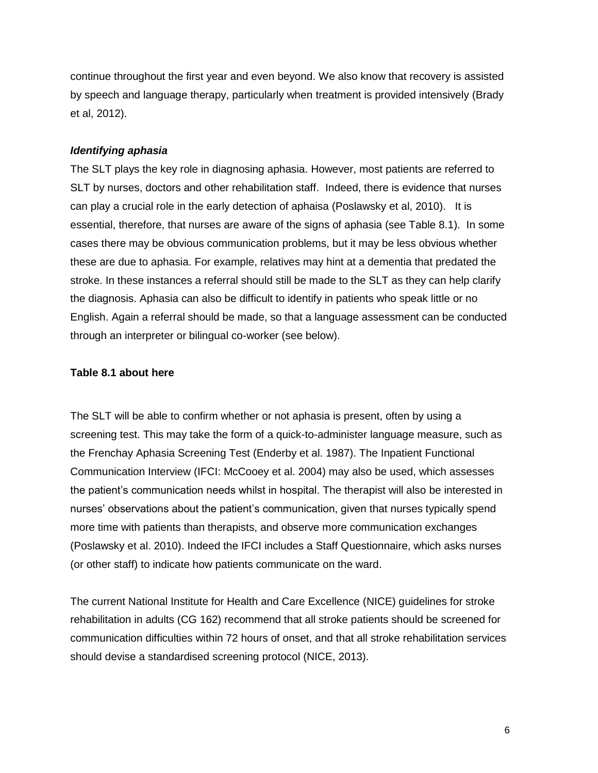continue throughout the first year and even beyond. We also know that recovery is assisted by speech and language therapy, particularly when treatment is provided intensively (Brady et al, 2012).

# *Identifying aphasia*

The SLT plays the key role in diagnosing aphasia. However, most patients are referred to SLT by nurses, doctors and other rehabilitation staff. Indeed, there is evidence that nurses can play a crucial role in the early detection of aphaisa (Poslawsky et al, 2010). It is essential, therefore, that nurses are aware of the signs of aphasia (see Table 8.1). In some cases there may be obvious communication problems, but it may be less obvious whether these are due to aphasia. For example, relatives may hint at a dementia that predated the stroke. In these instances a referral should still be made to the SLT as they can help clarify the diagnosis. Aphasia can also be difficult to identify in patients who speak little or no English. Again a referral should be made, so that a language assessment can be conducted through an interpreter or bilingual co-worker (see below).

# **Table 8.1 about here**

The SLT will be able to confirm whether or not aphasia is present, often by using a screening test. This may take the form of a quick-to-administer language measure, such as the Frenchay Aphasia Screening Test (Enderby et al. 1987). The Inpatient Functional Communication Interview (IFCI: McCooey et al. 2004) may also be used, which assesses the patient's communication needs whilst in hospital. The therapist will also be interested in nurses' observations about the patient's communication, given that nurses typically spend more time with patients than therapists, and observe more communication exchanges (Poslawsky et al. 2010). Indeed the IFCI includes a Staff Questionnaire, which asks nurses (or other staff) to indicate how patients communicate on the ward.

The current National Institute for Health and Care Excellence (NICE) guidelines for stroke rehabilitation in adults (CG 162) recommend that all stroke patients should be screened for communication difficulties within 72 hours of onset, and that all stroke rehabilitation services should devise a standardised screening protocol (NICE, 2013).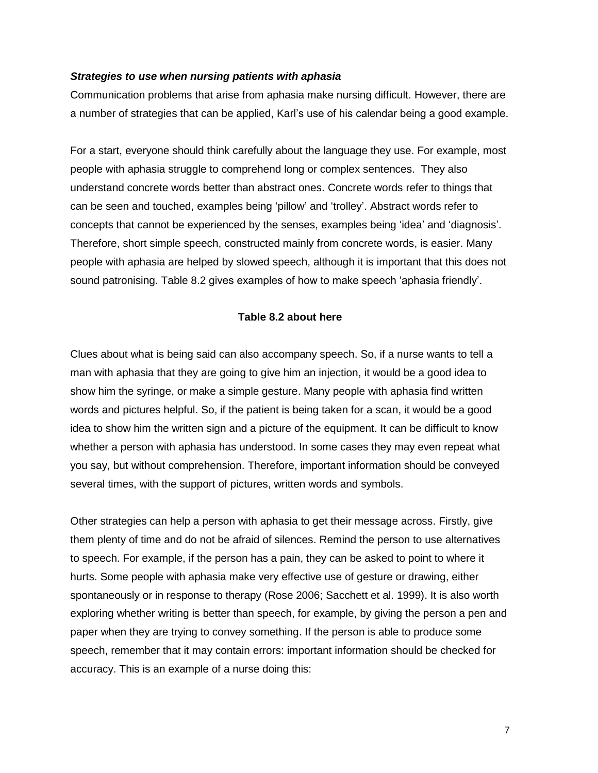#### *Strategies to use when nursing patients with aphasia*

Communication problems that arise from aphasia make nursing difficult. However, there are a number of strategies that can be applied, Karl's use of his calendar being a good example.

For a start, everyone should think carefully about the language they use. For example, most people with aphasia struggle to comprehend long or complex sentences. They also understand concrete words better than abstract ones. Concrete words refer to things that can be seen and touched, examples being 'pillow' and 'trolley'. Abstract words refer to concepts that cannot be experienced by the senses, examples being 'idea' and 'diagnosis'. Therefore, short simple speech, constructed mainly from concrete words, is easier. Many people with aphasia are helped by slowed speech, although it is important that this does not sound patronising. Table 8.2 gives examples of how to make speech 'aphasia friendly'.

#### **Table 8.2 about here**

Clues about what is being said can also accompany speech. So, if a nurse wants to tell a man with aphasia that they are going to give him an injection, it would be a good idea to show him the syringe, or make a simple gesture. Many people with aphasia find written words and pictures helpful. So, if the patient is being taken for a scan, it would be a good idea to show him the written sign and a picture of the equipment. It can be difficult to know whether a person with aphasia has understood. In some cases they may even repeat what you say, but without comprehension. Therefore, important information should be conveyed several times, with the support of pictures, written words and symbols.

Other strategies can help a person with aphasia to get their message across. Firstly, give them plenty of time and do not be afraid of silences. Remind the person to use alternatives to speech. For example, if the person has a pain, they can be asked to point to where it hurts. Some people with aphasia make very effective use of gesture or drawing, either spontaneously or in response to therapy (Rose 2006; Sacchett et al. 1999). It is also worth exploring whether writing is better than speech, for example, by giving the person a pen and paper when they are trying to convey something. If the person is able to produce some speech, remember that it may contain errors: important information should be checked for accuracy. This is an example of a nurse doing this: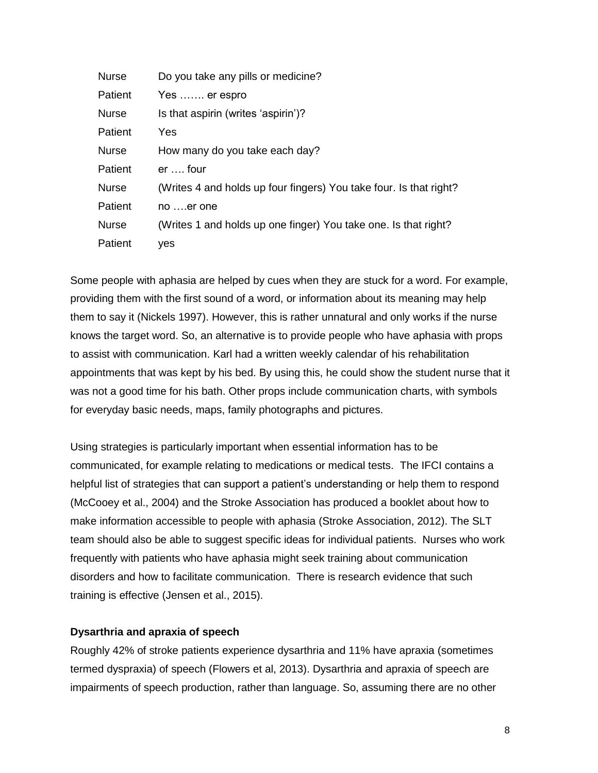| <b>Nurse</b> | Do you take any pills or medicine?                                 |
|--------------|--------------------------------------------------------------------|
| Patient      | Yes  er espro                                                      |
| <b>Nurse</b> | Is that aspirin (writes 'aspirin')?                                |
| Patient      | Yes                                                                |
| <b>Nurse</b> | How many do you take each day?                                     |
| Patient      | $er \dots for$                                                     |
| <b>Nurse</b> | (Writes 4 and holds up four fingers) You take four. Is that right? |
| Patient      | no er one                                                          |
| <b>Nurse</b> | (Writes 1 and holds up one finger) You take one. Is that right?    |
| Patient      | ves                                                                |

Some people with aphasia are helped by cues when they are stuck for a word. For example, providing them with the first sound of a word, or information about its meaning may help them to say it (Nickels 1997). However, this is rather unnatural and only works if the nurse knows the target word. So, an alternative is to provide people who have aphasia with props to assist with communication. Karl had a written weekly calendar of his rehabilitation appointments that was kept by his bed. By using this, he could show the student nurse that it was not a good time for his bath. Other props include communication charts, with symbols for everyday basic needs, maps, family photographs and pictures.

Using strategies is particularly important when essential information has to be communicated, for example relating to medications or medical tests. The IFCI contains a helpful list of strategies that can support a patient's understanding or help them to respond (McCooey et al., 2004) and the Stroke Association has produced a booklet about how to make information accessible to people with aphasia (Stroke Association, 2012). The SLT team should also be able to suggest specific ideas for individual patients. Nurses who work frequently with patients who have aphasia might seek training about communication disorders and how to facilitate communication. There is research evidence that such training is effective (Jensen et al., 2015).

#### **Dysarthria and apraxia of speech**

Roughly 42% of stroke patients experience dysarthria and 11% have apraxia (sometimes termed dyspraxia) of speech (Flowers et al, 2013). Dysarthria and apraxia of speech are impairments of speech production, rather than language. So, assuming there are no other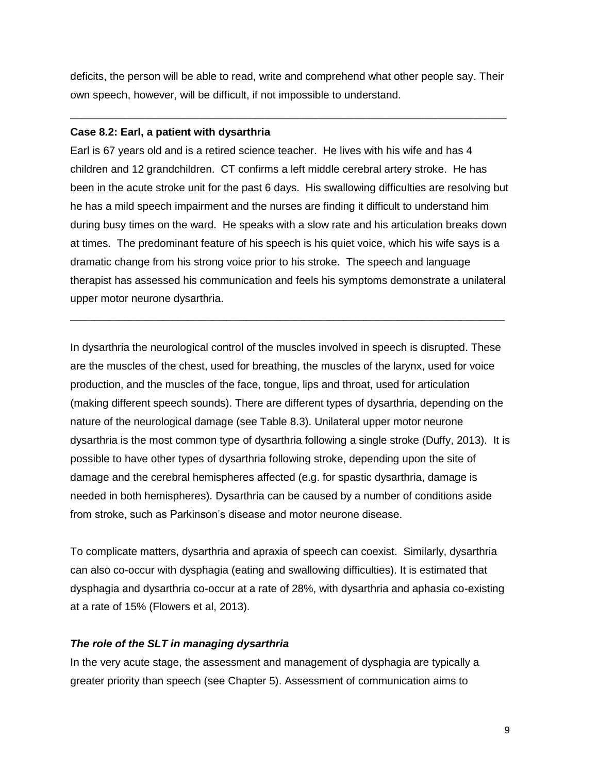deficits, the person will be able to read, write and comprehend what other people say. Their own speech, however, will be difficult, if not impossible to understand.

\_\_\_\_\_\_\_\_\_\_\_\_\_\_\_\_\_\_\_\_\_\_\_\_\_\_\_\_\_\_\_\_\_\_\_\_\_\_\_\_\_\_\_\_\_\_\_\_\_\_\_\_\_\_\_\_\_\_\_\_\_\_\_\_\_\_\_\_\_\_\_\_\_

# **Case 8.2: Earl, a patient with dysarthria**

Earl is 67 years old and is a retired science teacher. He lives with his wife and has 4 children and 12 grandchildren. CT confirms a left middle cerebral artery stroke. He has been in the acute stroke unit for the past 6 days. His swallowing difficulties are resolving but he has a mild speech impairment and the nurses are finding it difficult to understand him during busy times on the ward. He speaks with a slow rate and his articulation breaks down at times. The predominant feature of his speech is his quiet voice, which his wife says is a dramatic change from his strong voice prior to his stroke. The speech and language therapist has assessed his communication and feels his symptoms demonstrate a unilateral upper motor neurone dysarthria.

\_\_\_\_\_\_\_\_\_\_\_\_\_\_\_\_\_\_\_\_\_\_\_\_\_\_\_\_\_\_\_\_\_\_\_\_\_\_\_\_\_\_\_\_\_\_\_\_\_\_\_\_\_\_\_\_\_\_\_\_\_\_\_\_\_\_\_\_\_\_\_\_\_\_\_\_\_\_\_\_\_\_\_\_\_\_\_\_\_

In dysarthria the neurological control of the muscles involved in speech is disrupted. These are the muscles of the chest, used for breathing, the muscles of the larynx, used for voice production, and the muscles of the face, tongue, lips and throat, used for articulation (making different speech sounds). There are different types of dysarthria, depending on the nature of the neurological damage (see Table 8.3). Unilateral upper motor neurone dysarthria is the most common type of dysarthria following a single stroke (Duffy, 2013). It is possible to have other types of dysarthria following stroke, depending upon the site of damage and the cerebral hemispheres affected (e.g. for spastic dysarthria, damage is needed in both hemispheres). Dysarthria can be caused by a number of conditions aside from stroke, such as Parkinson's disease and motor neurone disease.

To complicate matters, dysarthria and apraxia of speech can coexist. Similarly, dysarthria can also co-occur with dysphagia (eating and swallowing difficulties). It is estimated that dysphagia and dysarthria co-occur at a rate of 28%, with dysarthria and aphasia co-existing at a rate of 15% (Flowers et al, 2013).

# *The role of the SLT in managing dysarthria*

In the very acute stage, the assessment and management of dysphagia are typically a greater priority than speech (see Chapter 5). Assessment of communication aims to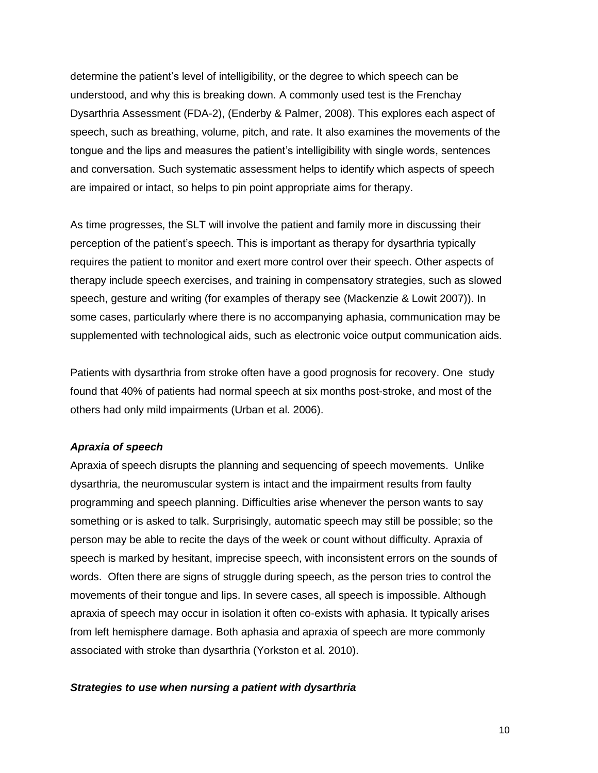determine the patient's level of intelligibility, or the degree to which speech can be understood, and why this is breaking down. A commonly used test is the Frenchay Dysarthria Assessment (FDA-2), (Enderby & Palmer, 2008). This explores each aspect of speech, such as breathing, volume, pitch, and rate. It also examines the movements of the tongue and the lips and measures the patient's intelligibility with single words, sentences and conversation. Such systematic assessment helps to identify which aspects of speech are impaired or intact, so helps to pin point appropriate aims for therapy.

As time progresses, the SLT will involve the patient and family more in discussing their perception of the patient's speech. This is important as therapy for dysarthria typically requires the patient to monitor and exert more control over their speech. Other aspects of therapy include speech exercises, and training in compensatory strategies, such as slowed speech, gesture and writing (for examples of therapy see (Mackenzie & Lowit 2007)). In some cases, particularly where there is no accompanying aphasia, communication may be supplemented with technological aids, such as electronic voice output communication aids.

Patients with dysarthria from stroke often have a good prognosis for recovery. One study found that 40% of patients had normal speech at six months post-stroke, and most of the others had only mild impairments (Urban et al. 2006).

# *Apraxia of speech*

Apraxia of speech disrupts the planning and sequencing of speech movements. Unlike dysarthria, the neuromuscular system is intact and the impairment results from faulty programming and speech planning. Difficulties arise whenever the person wants to say something or is asked to talk. Surprisingly, automatic speech may still be possible; so the person may be able to recite the days of the week or count without difficulty. Apraxia of speech is marked by hesitant, imprecise speech, with inconsistent errors on the sounds of words. Often there are signs of struggle during speech, as the person tries to control the movements of their tongue and lips. In severe cases, all speech is impossible. Although apraxia of speech may occur in isolation it often co-exists with aphasia. It typically arises from left hemisphere damage. Both aphasia and apraxia of speech are more commonly associated with stroke than dysarthria (Yorkston et al. 2010).

#### *Strategies to use when nursing a patient with dysarthria*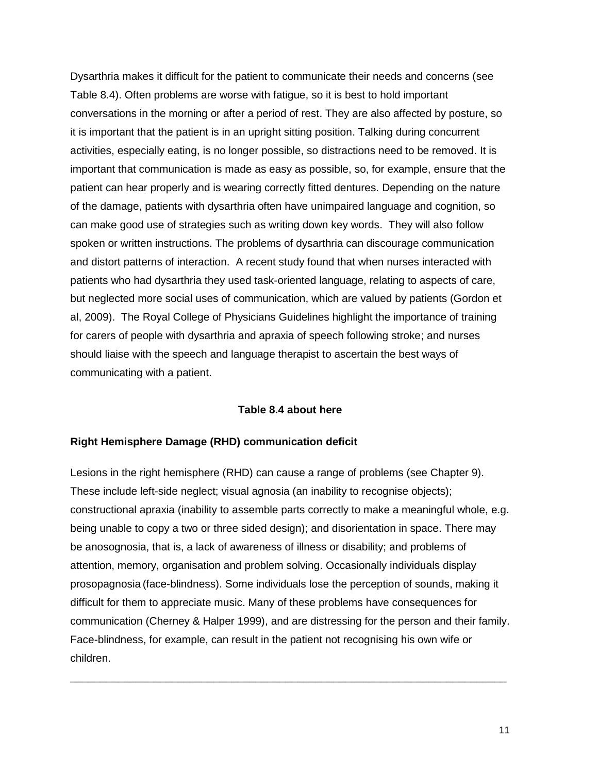Dysarthria makes it difficult for the patient to communicate their needs and concerns (see Table 8.4). Often problems are worse with fatigue, so it is best to hold important conversations in the morning or after a period of rest. They are also affected by posture, so it is important that the patient is in an upright sitting position. Talking during concurrent activities, especially eating, is no longer possible, so distractions need to be removed. It is important that communication is made as easy as possible, so, for example, ensure that the patient can hear properly and is wearing correctly fitted dentures. Depending on the nature of the damage, patients with dysarthria often have unimpaired language and cognition, so can make good use of strategies such as writing down key words. They will also follow spoken or written instructions. The problems of dysarthria can discourage communication and distort patterns of interaction. A recent study found that when nurses interacted with patients who had dysarthria they used task-oriented language, relating to aspects of care, but neglected more social uses of communication, which are valued by patients (Gordon et al, 2009). The Royal College of Physicians Guidelines highlight the importance of training for carers of people with dysarthria and apraxia of speech following stroke; and nurses should liaise with the speech and language therapist to ascertain the best ways of communicating with a patient.

#### **Table 8.4 about here**

#### **Right Hemisphere Damage (RHD) communication deficit**

Lesions in the right hemisphere (RHD) can cause a range of problems (see Chapter 9). These include left-side neglect; visual agnosia (an inability to recognise objects); constructional apraxia (inability to assemble parts correctly to make a meaningful whole, e.g. being unable to copy a two or three sided design); and disorientation in space. There may be anosognosia, that is, a lack of awareness of illness or disability; and problems of attention, memory, organisation and problem solving. Occasionally individuals display prosopagnosia (face-blindness). Some individuals lose the perception of sounds, making it difficult for them to appreciate music. Many of these problems have consequences for communication (Cherney & Halper 1999), and are distressing for the person and their family. Face-blindness, for example, can result in the patient not recognising his own wife or children.

\_\_\_\_\_\_\_\_\_\_\_\_\_\_\_\_\_\_\_\_\_\_\_\_\_\_\_\_\_\_\_\_\_\_\_\_\_\_\_\_\_\_\_\_\_\_\_\_\_\_\_\_\_\_\_\_\_\_\_\_\_\_\_\_\_\_\_\_\_\_\_\_\_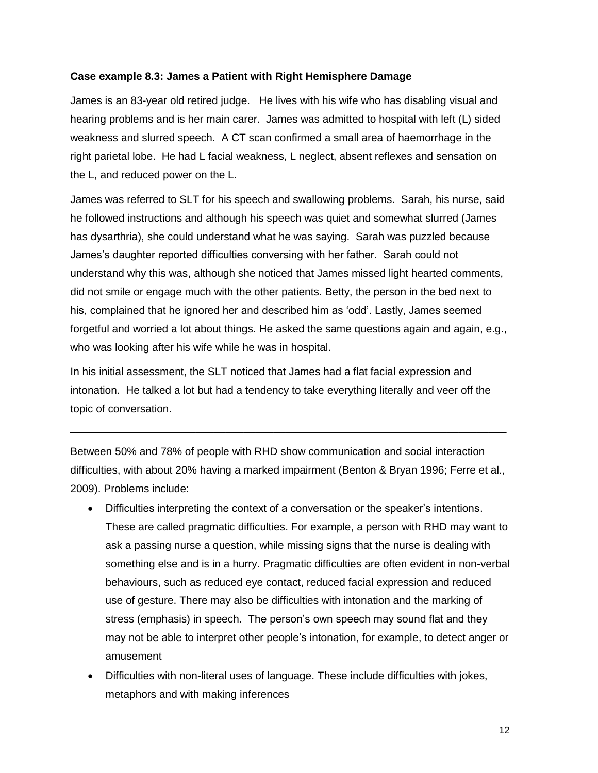# **Case example 8.3: James a Patient with Right Hemisphere Damage**

James is an 83-year old retired judge. He lives with his wife who has disabling visual and hearing problems and is her main carer. James was admitted to hospital with left (L) sided weakness and slurred speech. A CT scan confirmed a small area of haemorrhage in the right parietal lobe. He had L facial weakness, L neglect, absent reflexes and sensation on the L, and reduced power on the L.

James was referred to SLT for his speech and swallowing problems. Sarah, his nurse, said he followed instructions and although his speech was quiet and somewhat slurred (James has dysarthria), she could understand what he was saying. Sarah was puzzled because James's daughter reported difficulties conversing with her father. Sarah could not understand why this was, although she noticed that James missed light hearted comments, did not smile or engage much with the other patients. Betty, the person in the bed next to his, complained that he ignored her and described him as 'odd'. Lastly, James seemed forgetful and worried a lot about things. He asked the same questions again and again, e.g., who was looking after his wife while he was in hospital.

In his initial assessment, the SLT noticed that James had a flat facial expression and intonation. He talked a lot but had a tendency to take everything literally and veer off the topic of conversation.

Between 50% and 78% of people with RHD show communication and social interaction difficulties, with about 20% having a marked impairment (Benton & Bryan 1996; Ferre et al., 2009). Problems include:

\_\_\_\_\_\_\_\_\_\_\_\_\_\_\_\_\_\_\_\_\_\_\_\_\_\_\_\_\_\_\_\_\_\_\_\_\_\_\_\_\_\_\_\_\_\_\_\_\_\_\_\_\_\_\_\_\_\_\_\_\_\_\_\_\_\_\_\_\_\_\_\_\_

- Difficulties interpreting the context of a conversation or the speaker's intentions. These are called pragmatic difficulties. For example, a person with RHD may want to ask a passing nurse a question, while missing signs that the nurse is dealing with something else and is in a hurry. Pragmatic difficulties are often evident in non-verbal behaviours, such as reduced eye contact, reduced facial expression and reduced use of gesture. There may also be difficulties with intonation and the marking of stress (emphasis) in speech. The person's own speech may sound flat and they may not be able to interpret other people's intonation, for example, to detect anger or amusement
- Difficulties with non-literal uses of language. These include difficulties with jokes, metaphors and with making inferences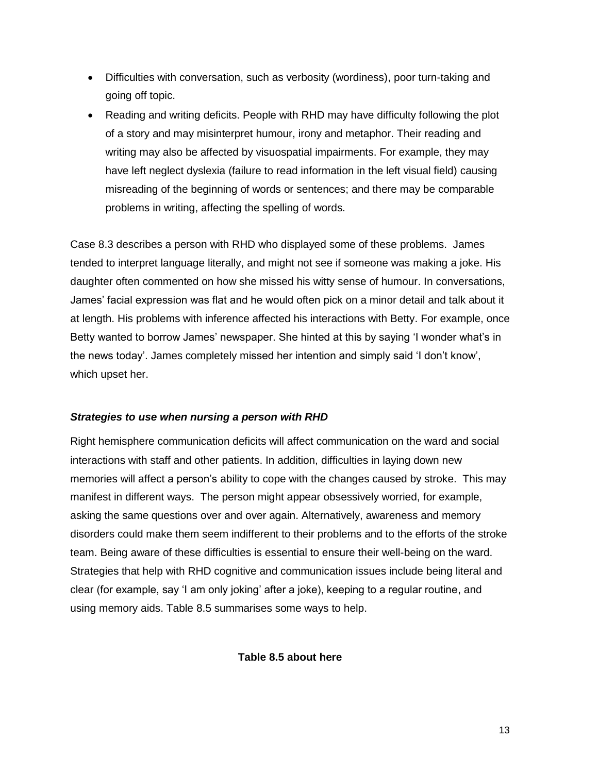- Difficulties with conversation, such as verbosity (wordiness), poor turn-taking and going off topic.
- Reading and writing deficits. People with RHD may have difficulty following the plot of a story and may misinterpret humour, irony and metaphor. Their reading and writing may also be affected by visuospatial impairments. For example, they may have left neglect dyslexia (failure to read information in the left visual field) causing misreading of the beginning of words or sentences; and there may be comparable problems in writing, affecting the spelling of words.

Case 8.3 describes a person with RHD who displayed some of these problems. James tended to interpret language literally, and might not see if someone was making a joke. His daughter often commented on how she missed his witty sense of humour. In conversations, James' facial expression was flat and he would often pick on a minor detail and talk about it at length. His problems with inference affected his interactions with Betty. For example, once Betty wanted to borrow James' newspaper. She hinted at this by saying 'I wonder what's in the news today'. James completely missed her intention and simply said 'I don't know', which upset her.

# *Strategies to use when nursing a person with RHD*

Right hemisphere communication deficits will affect communication on the ward and social interactions with staff and other patients. In addition, difficulties in laying down new memories will affect a person's ability to cope with the changes caused by stroke. This may manifest in different ways. The person might appear obsessively worried, for example, asking the same questions over and over again. Alternatively, awareness and memory disorders could make them seem indifferent to their problems and to the efforts of the stroke team. Being aware of these difficulties is essential to ensure their well-being on the ward. Strategies that help with RHD cognitive and communication issues include being literal and clear (for example, say 'I am only joking' after a joke), keeping to a regular routine, and using memory aids. Table 8.5 summarises some ways to help.

#### **Table 8.5 about here**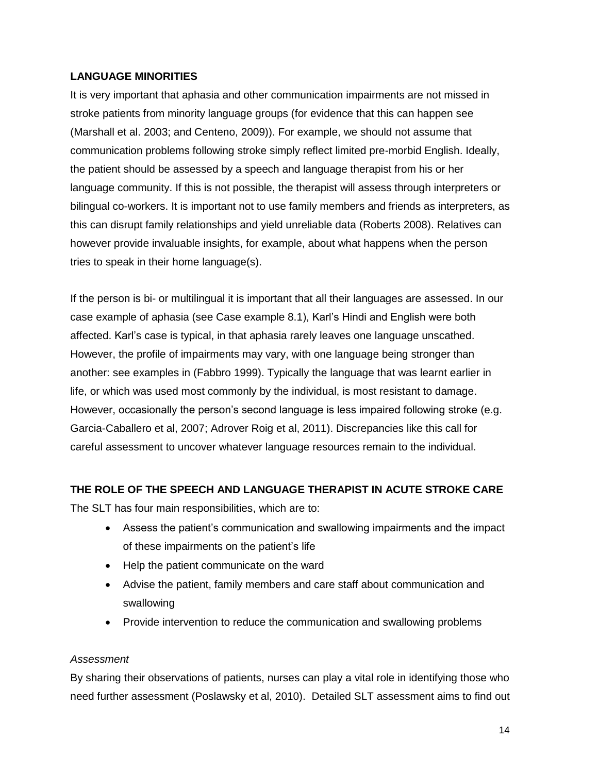# **LANGUAGE MINORITIES**

It is very important that aphasia and other communication impairments are not missed in stroke patients from minority language groups (for evidence that this can happen see (Marshall et al. 2003; and Centeno, 2009)). For example, we should not assume that communication problems following stroke simply reflect limited pre-morbid English. Ideally, the patient should be assessed by a speech and language therapist from his or her language community. If this is not possible, the therapist will assess through interpreters or bilingual co-workers. It is important not to use family members and friends as interpreters, as this can disrupt family relationships and yield unreliable data (Roberts 2008). Relatives can however provide invaluable insights, for example, about what happens when the person tries to speak in their home language(s).

If the person is bi- or multilingual it is important that all their languages are assessed. In our case example of aphasia (see Case example 8.1), Karl's Hindi and English were both affected. Karl's case is typical, in that aphasia rarely leaves one language unscathed. However, the profile of impairments may vary, with one language being stronger than another: see examples in (Fabbro 1999). Typically the language that was learnt earlier in life, or which was used most commonly by the individual, is most resistant to damage. However, occasionally the person's second language is less impaired following stroke (e.g. Garcia-Caballero et al, 2007; Adrover Roig et al, 2011). Discrepancies like this call for careful assessment to uncover whatever language resources remain to the individual.

# **THE ROLE OF THE SPEECH AND LANGUAGE THERAPIST IN ACUTE STROKE CARE**

The SLT has four main responsibilities, which are to:

- Assess the patient's communication and swallowing impairments and the impact of these impairments on the patient's life
- Help the patient communicate on the ward
- Advise the patient, family members and care staff about communication and swallowing
- Provide intervention to reduce the communication and swallowing problems

# *Assessment*

By sharing their observations of patients, nurses can play a vital role in identifying those who need further assessment (Poslawsky et al, 2010). Detailed SLT assessment aims to find out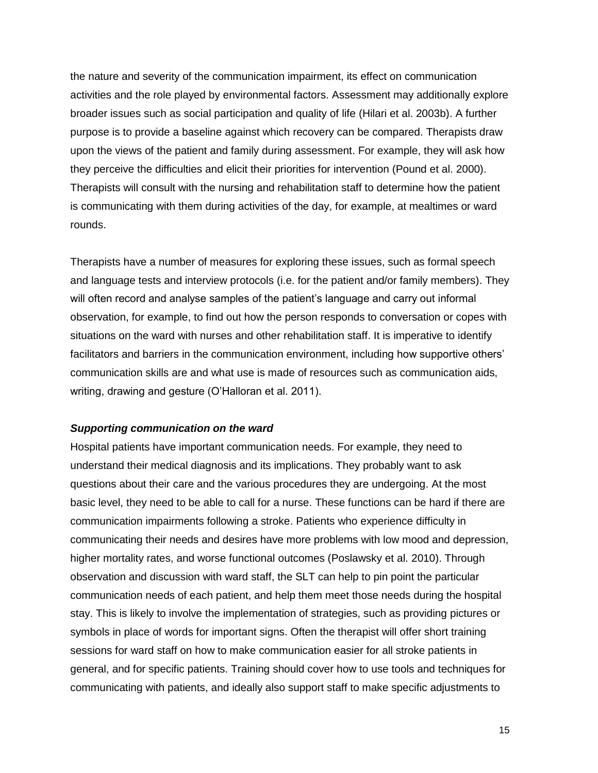the nature and severity of the communication impairment, its effect on communication activities and the role played by environmental factors. Assessment may additionally explore broader issues such as social participation and quality of life (Hilari et al. 2003b). A further purpose is to provide a baseline against which recovery can be compared. Therapists draw upon the views of the patient and family during assessment. For example, they will ask how they perceive the difficulties and elicit their priorities for intervention (Pound et al. 2000). Therapists will consult with the nursing and rehabilitation staff to determine how the patient is communicating with them during activities of the day, for example, at mealtimes or ward rounds.

Therapists have a number of measures for exploring these issues, such as formal speech and language tests and interview protocols (i.e. for the patient and/or family members). They will often record and analyse samples of the patient's language and carry out informal observation, for example, to find out how the person responds to conversation or copes with situations on the ward with nurses and other rehabilitation staff. It is imperative to identify facilitators and barriers in the communication environment, including how supportive others' communication skills are and what use is made of resources such as communication aids, writing, drawing and gesture (O'Halloran et al. 2011).

#### *Supporting communication on the ward*

Hospital patients have important communication needs. For example, they need to understand their medical diagnosis and its implications. They probably want to ask questions about their care and the various procedures they are undergoing. At the most basic level, they need to be able to call for a nurse. These functions can be hard if there are communication impairments following a stroke. Patients who experience difficulty in communicating their needs and desires have more problems with low mood and depression, higher mortality rates, and worse functional outcomes (Poslawsky et al. 2010). Through observation and discussion with ward staff, the SLT can help to pin point the particular communication needs of each patient, and help them meet those needs during the hospital stay. This is likely to involve the implementation of strategies, such as providing pictures or symbols in place of words for important signs. Often the therapist will offer short training sessions for ward staff on how to make communication easier for all stroke patients in general, and for specific patients. Training should cover how to use tools and techniques for communicating with patients, and ideally also support staff to make specific adjustments to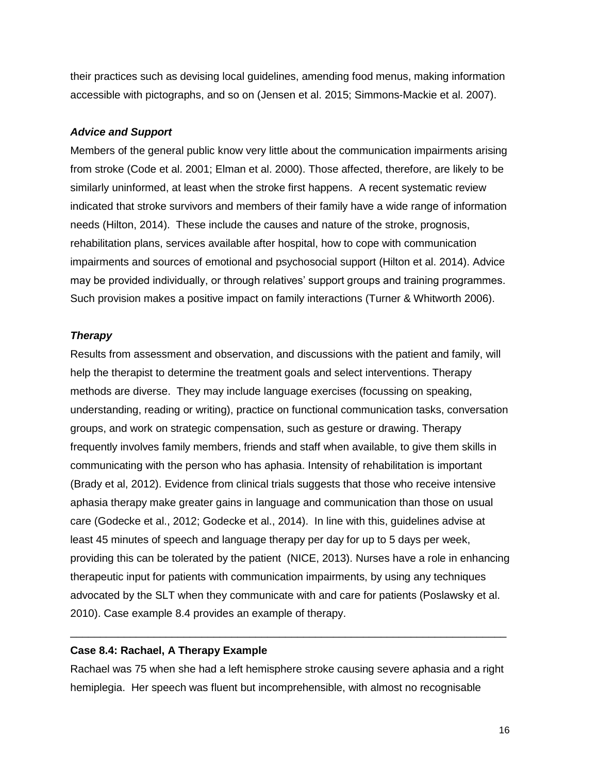their practices such as devising local guidelines, amending food menus, making information accessible with pictographs, and so on (Jensen et al. 2015; Simmons-Mackie et al. 2007).

# *Advice and Support*

Members of the general public know very little about the communication impairments arising from stroke (Code et al. 2001; Elman et al. 2000). Those affected, therefore, are likely to be similarly uninformed, at least when the stroke first happens. A recent systematic review indicated that stroke survivors and members of their family have a wide range of information needs (Hilton, 2014). These include the causes and nature of the stroke, prognosis, rehabilitation plans, services available after hospital, how to cope with communication impairments and sources of emotional and psychosocial support (Hilton et al. 2014). Advice may be provided individually, or through relatives' support groups and training programmes. Such provision makes a positive impact on family interactions (Turner & Whitworth 2006).

# *Therapy*

Results from assessment and observation, and discussions with the patient and family, will help the therapist to determine the treatment goals and select interventions. Therapy methods are diverse. They may include language exercises (focussing on speaking, understanding, reading or writing), practice on functional communication tasks, conversation groups, and work on strategic compensation, such as gesture or drawing. Therapy frequently involves family members, friends and staff when available, to give them skills in communicating with the person who has aphasia. Intensity of rehabilitation is important (Brady et al, 2012). Evidence from clinical trials suggests that those who receive intensive aphasia therapy make greater gains in language and communication than those on usual care (Godecke et al., 2012; Godecke et al., 2014). In line with this, guidelines advise at least 45 minutes of speech and language therapy per day for up to 5 days per week, providing this can be tolerated by the patient (NICE, 2013). Nurses have a role in enhancing therapeutic input for patients with communication impairments, by using any techniques advocated by the SLT when they communicate with and care for patients (Poslawsky et al. 2010). Case example 8.4 provides an example of therapy.

#### **Case 8.4: Rachael, A Therapy Example**

Rachael was 75 when she had a left hemisphere stroke causing severe aphasia and a right hemiplegia. Her speech was fluent but incomprehensible, with almost no recognisable

\_\_\_\_\_\_\_\_\_\_\_\_\_\_\_\_\_\_\_\_\_\_\_\_\_\_\_\_\_\_\_\_\_\_\_\_\_\_\_\_\_\_\_\_\_\_\_\_\_\_\_\_\_\_\_\_\_\_\_\_\_\_\_\_\_\_\_\_\_\_\_\_\_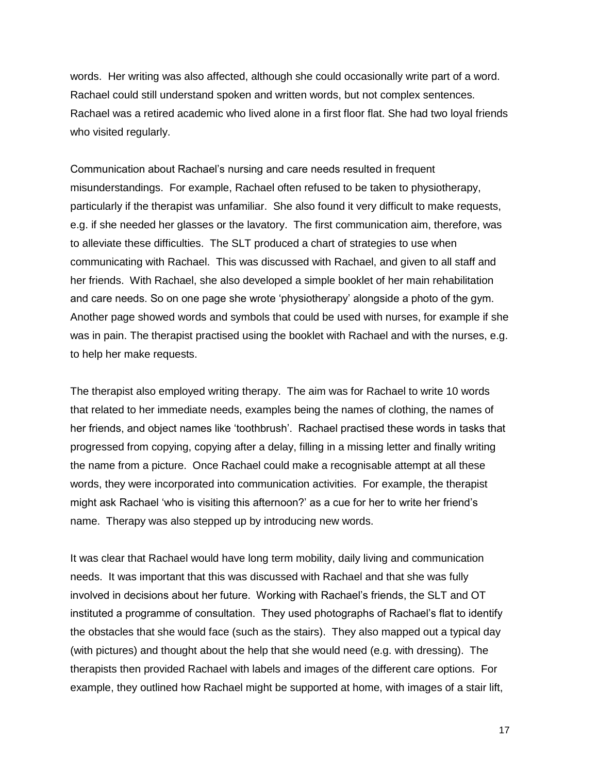words. Her writing was also affected, although she could occasionally write part of a word. Rachael could still understand spoken and written words, but not complex sentences. Rachael was a retired academic who lived alone in a first floor flat. She had two loyal friends who visited regularly.

Communication about Rachael's nursing and care needs resulted in frequent misunderstandings. For example, Rachael often refused to be taken to physiotherapy, particularly if the therapist was unfamiliar. She also found it very difficult to make requests, e.g. if she needed her glasses or the lavatory. The first communication aim, therefore, was to alleviate these difficulties. The SLT produced a chart of strategies to use when communicating with Rachael. This was discussed with Rachael, and given to all staff and her friends. With Rachael, she also developed a simple booklet of her main rehabilitation and care needs. So on one page she wrote 'physiotherapy' alongside a photo of the gym. Another page showed words and symbols that could be used with nurses, for example if she was in pain. The therapist practised using the booklet with Rachael and with the nurses, e.g. to help her make requests.

The therapist also employed writing therapy. The aim was for Rachael to write 10 words that related to her immediate needs, examples being the names of clothing, the names of her friends, and object names like 'toothbrush'. Rachael practised these words in tasks that progressed from copying, copying after a delay, filling in a missing letter and finally writing the name from a picture. Once Rachael could make a recognisable attempt at all these words, they were incorporated into communication activities. For example, the therapist might ask Rachael 'who is visiting this afternoon?' as a cue for her to write her friend's name. Therapy was also stepped up by introducing new words.

It was clear that Rachael would have long term mobility, daily living and communication needs. It was important that this was discussed with Rachael and that she was fully involved in decisions about her future. Working with Rachael's friends, the SLT and OT instituted a programme of consultation. They used photographs of Rachael's flat to identify the obstacles that she would face (such as the stairs). They also mapped out a typical day (with pictures) and thought about the help that she would need (e.g. with dressing). The therapists then provided Rachael with labels and images of the different care options. For example, they outlined how Rachael might be supported at home, with images of a stair lift,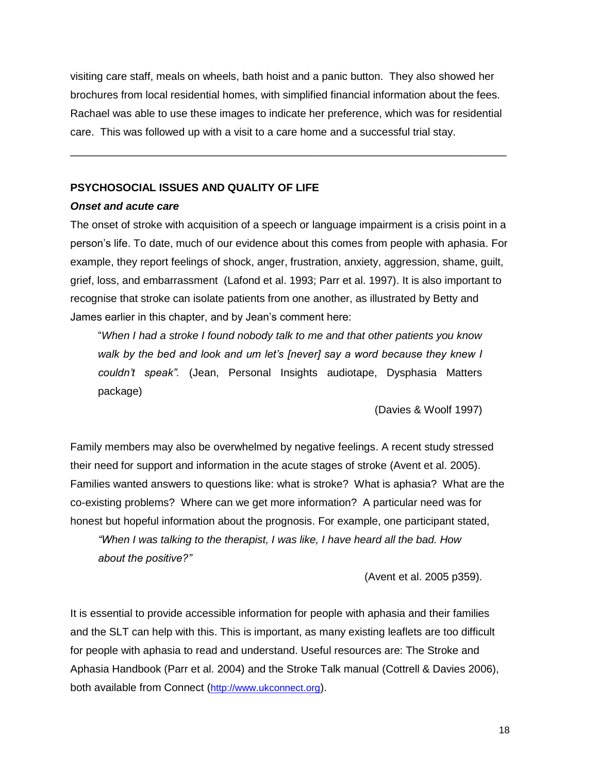visiting care staff, meals on wheels, bath hoist and a panic button. They also showed her brochures from local residential homes, with simplified financial information about the fees. Rachael was able to use these images to indicate her preference, which was for residential care. This was followed up with a visit to a care home and a successful trial stay.

\_\_\_\_\_\_\_\_\_\_\_\_\_\_\_\_\_\_\_\_\_\_\_\_\_\_\_\_\_\_\_\_\_\_\_\_\_\_\_\_\_\_\_\_\_\_\_\_\_\_\_\_\_\_\_\_\_\_\_\_\_\_\_\_\_\_\_\_\_\_\_\_\_

# **PSYCHOSOCIAL ISSUES AND QUALITY OF LIFE**

#### *Onset and acute care*

The onset of stroke with acquisition of a speech or language impairment is a crisis point in a person's life. To date, much of our evidence about this comes from people with aphasia. For example, they report feelings of shock, anger, frustration, anxiety, aggression, shame, guilt, grief, loss, and embarrassment (Lafond et al. 1993; Parr et al. 1997). It is also important to recognise that stroke can isolate patients from one another, as illustrated by Betty and James earlier in this chapter, and by Jean's comment here:

"*When I had a stroke I found nobody talk to me and that other patients you know walk by the bed and look and um let's [never] say a word because they knew I couldn't speak".* (Jean, Personal Insights audiotape, Dysphasia Matters package)

(Davies & Woolf 1997)

Family members may also be overwhelmed by negative feelings. A recent study stressed their need for support and information in the acute stages of stroke (Avent et al. 2005). Families wanted answers to questions like: what is stroke? What is aphasia? What are the co-existing problems? Where can we get more information? A particular need was for honest but hopeful information about the prognosis. For example, one participant stated,

*"When I was talking to the therapist, I was like, I have heard all the bad. How about the positive?"*

(Avent et al. 2005 p359).

It is essential to provide accessible information for people with aphasia and their families and the SLT can help with this. This is important, as many existing leaflets are too difficult for people with aphasia to read and understand. Useful resources are: The Stroke and Aphasia Handbook (Parr et al. 2004) and the Stroke Talk manual (Cottrell & Davies 2006), both available from Connect ([http://www.ukconnect.org](http://www.ukconnect.org/)).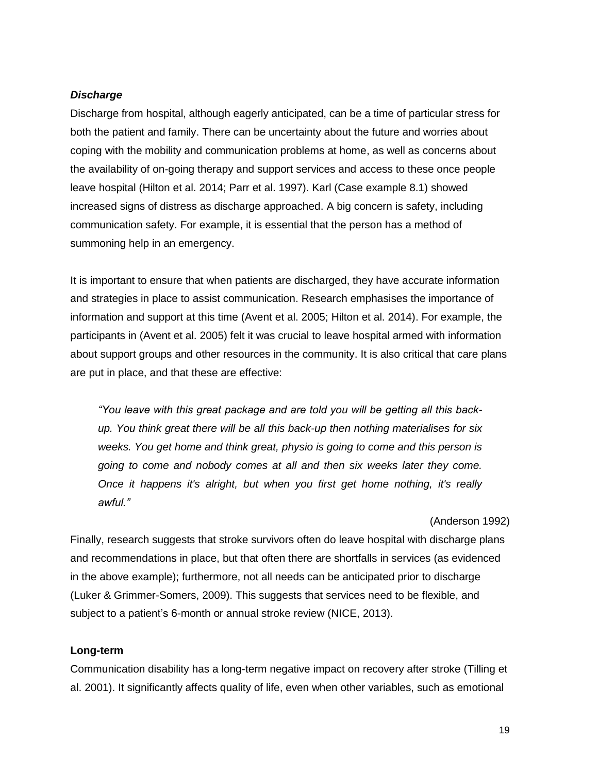#### *Discharge*

Discharge from hospital, although eagerly anticipated, can be a time of particular stress for both the patient and family. There can be uncertainty about the future and worries about coping with the mobility and communication problems at home, as well as concerns about the availability of on-going therapy and support services and access to these once people leave hospital (Hilton et al. 2014; Parr et al. 1997). Karl (Case example 8.1) showed increased signs of distress as discharge approached. A big concern is safety, including communication safety. For example, it is essential that the person has a method of summoning help in an emergency.

It is important to ensure that when patients are discharged, they have accurate information and strategies in place to assist communication. Research emphasises the importance of information and support at this time (Avent et al. 2005; Hilton et al. 2014). For example, the participants in (Avent et al. 2005) felt it was crucial to leave hospital armed with information about support groups and other resources in the community. It is also critical that care plans are put in place, and that these are effective:

*"You leave with this great package and are told you will be getting all this backup. You think great there will be all this back-up then nothing materialises for six weeks. You get home and think great, physio is going to come and this person is going to come and nobody comes at all and then six weeks later they come. Once it happens it's alright, but when you first get home nothing, it's really awful."*

(Anderson 1992)

Finally, research suggests that stroke survivors often do leave hospital with discharge plans and recommendations in place, but that often there are shortfalls in services (as evidenced in the above example); furthermore, not all needs can be anticipated prior to discharge (Luker & Grimmer-Somers, 2009). This suggests that services need to be flexible, and subject to a patient's 6-month or annual stroke review (NICE, 2013).

#### **Long-term**

Communication disability has a long-term negative impact on recovery after stroke (Tilling et al. 2001). It significantly affects quality of life, even when other variables, such as emotional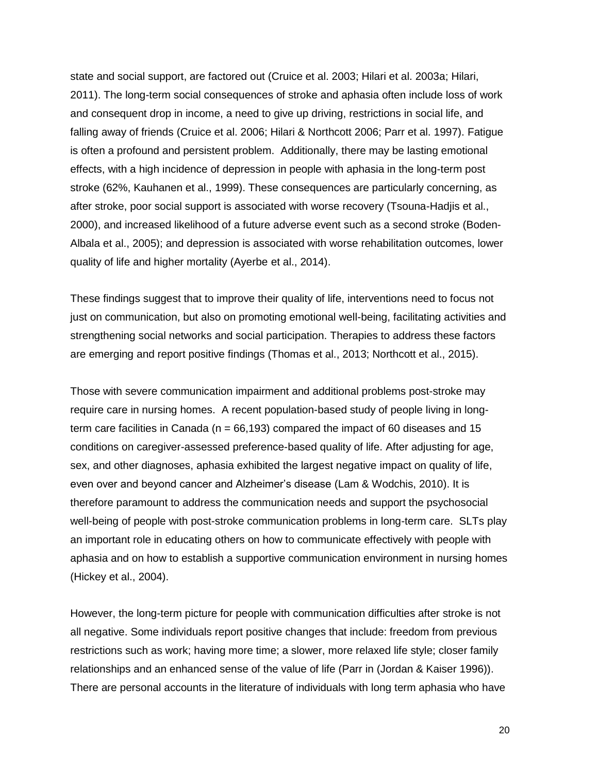state and social support, are factored out (Cruice et al. 2003; Hilari et al. 2003a; Hilari, 2011). The long-term social consequences of stroke and aphasia often include loss of work and consequent drop in income, a need to give up driving, restrictions in social life, and falling away of friends (Cruice et al. 2006; Hilari & Northcott 2006; Parr et al. 1997). Fatigue is often a profound and persistent problem. Additionally, there may be lasting emotional effects, with a high incidence of depression in people with aphasia in the long-term post stroke (62%, Kauhanen et al., 1999). These consequences are particularly concerning, as after stroke, poor social support is associated with worse recovery (Tsouna-Hadjis et al., 2000), and increased likelihood of a future adverse event such as a second stroke (Boden-Albala et al., 2005); and depression is associated with worse rehabilitation outcomes, lower quality of life and higher mortality (Ayerbe et al., 2014).

These findings suggest that to improve their quality of life, interventions need to focus not just on communication, but also on promoting emotional well-being, facilitating activities and strengthening social networks and social participation. Therapies to address these factors are emerging and report positive findings (Thomas et al., 2013; Northcott et al., 2015).

Those with severe communication impairment and additional problems post-stroke may require care in nursing homes. A recent population-based study of people living in longterm care facilities in Canada ( $n = 66,193$ ) compared the impact of 60 diseases and 15 conditions on caregiver-assessed preference-based quality of life. After adjusting for age, sex, and other diagnoses, aphasia exhibited the largest negative impact on quality of life, even over and beyond cancer and Alzheimer's disease (Lam & Wodchis, 2010). It is therefore paramount to address the communication needs and support the psychosocial well-being of people with post-stroke communication problems in long-term care. SLTs play an important role in educating others on how to communicate effectively with people with aphasia and on how to establish a supportive communication environment in nursing homes (Hickey et al., 2004).

However, the long-term picture for people with communication difficulties after stroke is not all negative. Some individuals report positive changes that include: freedom from previous restrictions such as work; having more time; a slower, more relaxed life style; closer family relationships and an enhanced sense of the value of life (Parr in (Jordan & Kaiser 1996)). There are personal accounts in the literature of individuals with long term aphasia who have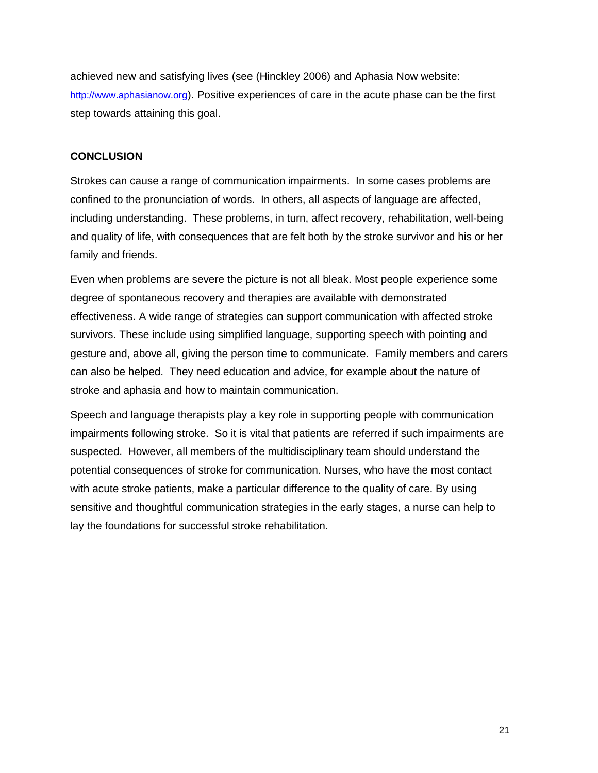achieved new and satisfying lives (see (Hinckley 2006) and Aphasia Now website: [http://www.aphasianow.org](http://www.aphasianow.org/)). Positive experiences of care in the acute phase can be the first step towards attaining this goal.

# **CONCLUSION**

Strokes can cause a range of communication impairments. In some cases problems are confined to the pronunciation of words. In others, all aspects of language are affected, including understanding. These problems, in turn, affect recovery, rehabilitation, well-being and quality of life, with consequences that are felt both by the stroke survivor and his or her family and friends.

Even when problems are severe the picture is not all bleak. Most people experience some degree of spontaneous recovery and therapies are available with demonstrated effectiveness. A wide range of strategies can support communication with affected stroke survivors. These include using simplified language, supporting speech with pointing and gesture and, above all, giving the person time to communicate. Family members and carers can also be helped. They need education and advice, for example about the nature of stroke and aphasia and how to maintain communication.

Speech and language therapists play a key role in supporting people with communication impairments following stroke. So it is vital that patients are referred if such impairments are suspected. However, all members of the multidisciplinary team should understand the potential consequences of stroke for communication. Nurses, who have the most contact with acute stroke patients, make a particular difference to the quality of care. By using sensitive and thoughtful communication strategies in the early stages, a nurse can help to lay the foundations for successful stroke rehabilitation.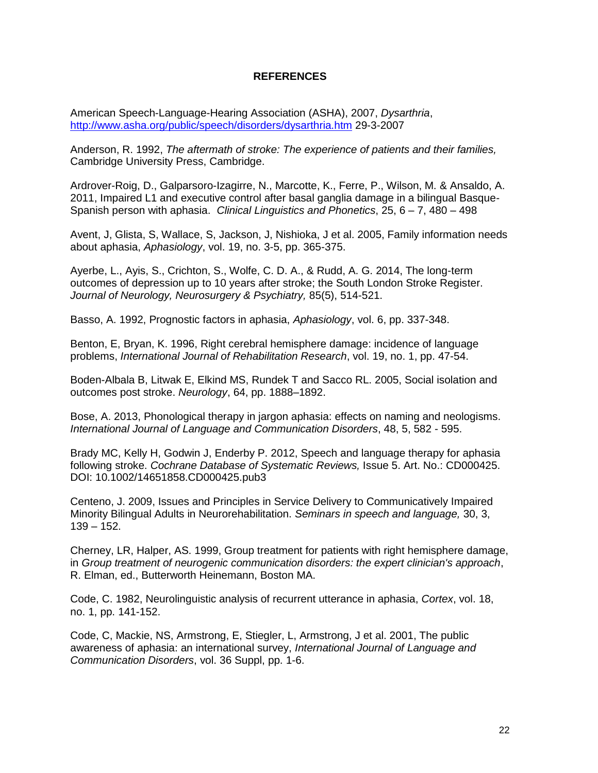# **REFERENCES**

American Speech-Language-Hearing Association (ASHA), 2007, *Dysarthria*, <http://www.asha.org/public/speech/disorders/dysarthria.htm> 29-3-2007

Anderson, R. 1992, *The aftermath of stroke: The experience of patients and their families,* Cambridge University Press, Cambridge.

Ardrover-Roig, D., Galparsoro-Izagirre, N., Marcotte, K., Ferre, P., Wilson, M. & Ansaldo, A. 2011, Impaired L1 and executive control after basal ganglia damage in a bilingual Basque-Spanish person with aphasia. *Clinical Linguistics and Phonetics*, 25, 6 – 7, 480 – 498

Avent, J, Glista, S, Wallace, S, Jackson, J, Nishioka, J et al. 2005, Family information needs about aphasia, *Aphasiology*, vol. 19, no. 3-5, pp. 365-375.

Ayerbe, L., Ayis, S., Crichton, S., Wolfe, C. D. A., & Rudd, A. G. 2014, The long-term outcomes of depression up to 10 years after stroke; the South London Stroke Register. *Journal of Neurology, Neurosurgery & Psychiatry,* 85(5), 514-521.

Basso, A. 1992, Prognostic factors in aphasia, *Aphasiology*, vol. 6, pp. 337-348.

Benton, E, Bryan, K. 1996, Right cerebral hemisphere damage: incidence of language problems, *International Journal of Rehabilitation Research*, vol. 19, no. 1, pp. 47-54.

Boden-Albala B, Litwak E, Elkind MS, Rundek T and Sacco RL. 2005, Social isolation and outcomes post stroke. *Neurology*, 64, pp. 1888–1892.

Bose, A. 2013, Phonological therapy in jargon aphasia: effects on naming and neologisms. *International Journal of Language and Communication Disorders*, 48, 5, 582 - 595.

Brady MC, Kelly H, Godwin J, Enderby P. 2012, Speech and language therapy for aphasia following stroke. *Cochrane Database of Systematic Reviews,* Issue 5. Art. No.: CD000425. DOI: 10.1002/14651858.CD000425.pub3

Centeno, J. 2009, Issues and Principles in Service Delivery to Communicatively Impaired Minority Bilingual Adults in Neurorehabilitation. *Seminars in speech and language,* 30, 3,  $139 - 152.$ 

Cherney, LR, Halper, AS. 1999, Group treatment for patients with right hemisphere damage, in *Group treatment of neurogenic communication disorders: the expert clinician's approach*, R. Elman, ed., Butterworth Heinemann, Boston MA.

Code, C. 1982, Neurolinguistic analysis of recurrent utterance in aphasia, *Cortex*, vol. 18, no. 1, pp. 141-152.

Code, C, Mackie, NS, Armstrong, E, Stiegler, L, Armstrong, J et al. 2001, The public awareness of aphasia: an international survey, *International Journal of Language and Communication Disorders*, vol. 36 Suppl, pp. 1-6.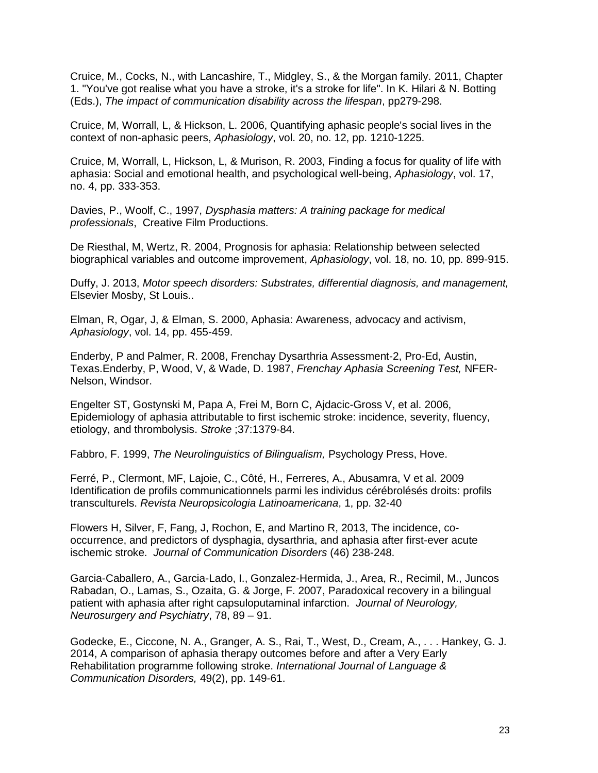Cruice, M., Cocks, N., with Lancashire, T., Midgley, S., & the Morgan family. 2011, Chapter 1. "You've got realise what you have a stroke, it's a stroke for life". In K. Hilari & N. Botting (Eds.), *The impact of communication disability across the lifespan*, pp279-298.

Cruice, M, Worrall, L, & Hickson, L. 2006, Quantifying aphasic people's social lives in the context of non-aphasic peers, *Aphasiology*, vol. 20, no. 12, pp. 1210-1225.

Cruice, M, Worrall, L, Hickson, L, & Murison, R. 2003, Finding a focus for quality of life with aphasia: Social and emotional health, and psychological well-being, *Aphasiology*, vol. 17, no. 4, pp. 333-353.

Davies, P., Woolf, C., 1997, *Dysphasia matters: A training package for medical professionals*, Creative Film Productions.

De Riesthal, M, Wertz, R. 2004, Prognosis for aphasia: Relationship between selected biographical variables and outcome improvement, *Aphasiology*, vol. 18, no. 10, pp. 899-915.

Duffy, J. 2013, *Motor speech disorders: Substrates, differential diagnosis, and management,*  Elsevier Mosby, St Louis..

Elman, R, Ogar, J, & Elman, S. 2000, Aphasia: Awareness, advocacy and activism, *Aphasiology*, vol. 14, pp. 455-459.

Enderby, P and Palmer, R. 2008, Frenchay Dysarthria Assessment-2, Pro-Ed, Austin, Texas.Enderby, P, Wood, V, & Wade, D. 1987, *Frenchay Aphasia Screening Test,* NFER-Nelson, Windsor.

Engelter ST, Gostynski M, Papa A, Frei M, Born C, Ajdacic-Gross V, et al. 2006, Epidemiology of aphasia attributable to first ischemic stroke: incidence, severity, fluency, etiology, and thrombolysis. *Stroke* ;37:1379-84.

Fabbro, F. 1999, *The Neurolinguistics of Bilingualism,* Psychology Press, Hove.

Ferré, P., Clermont, MF, Lajoie, C., Côté, H., Ferreres, A., Abusamra, V et al. 2009 Identification de profils communicationnels parmi les individus cérébrolésés droits: profils transculturels. *Revista Neuropsicologia Latinoamericana*, 1, pp. 32-40

Flowers H, Silver, F, Fang, J, Rochon, E, and Martino R, 2013, The incidence, cooccurrence, and predictors of dysphagia, dysarthria, and aphasia after first-ever acute ischemic stroke. *Journal of Communication Disorders* (46) 238-248.

Garcia-Caballero, A., Garcia-Lado, I., Gonzalez-Hermida, J., Area, R., Recimil, M., Juncos Rabadan, O., Lamas, S., Ozaita, G. & Jorge, F. 2007, Paradoxical recovery in a bilingual patient with aphasia after right capsuloputaminal infarction. *Journal of Neurology, Neurosurgery and Psychiatry*, 78, 89 – 91.

Godecke, E., Ciccone, N. A., Granger, A. S., Rai, T., West, D., Cream, A., . . . Hankey, G. J. 2014, A comparison of aphasia therapy outcomes before and after a Very Early Rehabilitation programme following stroke. *International Journal of Language & Communication Disorders,* 49(2), pp. 149-61.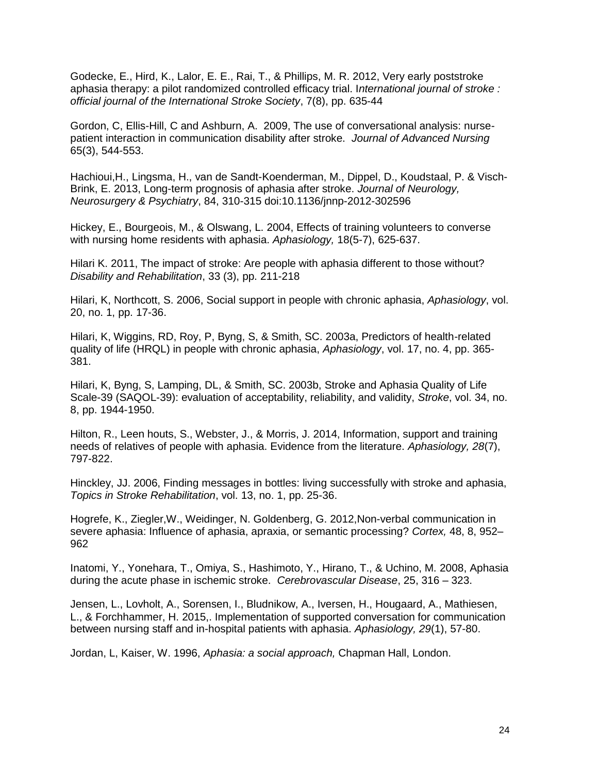Godecke, E., Hird, K., Lalor, E. E., Rai, T., & Phillips, M. R. 2012, Very early poststroke aphasia therapy: a pilot randomized controlled efficacy trial. I*nternational journal of stroke : official journal of the International Stroke Society*, 7(8), pp. 635-44

Gordon, C, Ellis-Hill, C and Ashburn, A. 2009, The use of conversational analysis: nursepatient interaction in communication disability after stroke. *Journal of Advanced Nursing* 65(3), 544-553.

Hachioui,H., Lingsma, H., van de Sandt-Koenderman, M., Dippel, D., Koudstaal, P. & Visch-Brink, E. 2013, Long-term prognosis of aphasia after stroke. *Journal of Neurology, Neurosurgery & Psychiatry*, 84, 310-315 doi:10.1136/jnnp-2012-302596

Hickey, E., Bourgeois, M., & Olswang, L. 2004, Effects of training volunteers to converse with nursing home residents with aphasia. *Aphasiology,* 18(5-7), 625-637.

Hilari K. 2011, The impact of stroke: Are people with aphasia different to those without? *Disability and Rehabilitation*, 33 (3), pp. 211-218

Hilari, K, Northcott, S. 2006, Social support in people with chronic aphasia, *Aphasiology*, vol. 20, no. 1, pp. 17-36.

Hilari, K, Wiggins, RD, Roy, P, Byng, S, & Smith, SC. 2003a, Predictors of health-related quality of life (HRQL) in people with chronic aphasia, *Aphasiology*, vol. 17, no. 4, pp. 365- 381.

Hilari, K, Byng, S, Lamping, DL, & Smith, SC. 2003b, Stroke and Aphasia Quality of Life Scale-39 (SAQOL-39): evaluation of acceptability, reliability, and validity, *Stroke*, vol. 34, no. 8, pp. 1944-1950.

Hilton, R., Leen houts, S., Webster, J., & Morris, J. 2014, Information, support and training needs of relatives of people with aphasia. Evidence from the literature. *Aphasiology, 28*(7), 797-822.

Hinckley, JJ. 2006, Finding messages in bottles: living successfully with stroke and aphasia, *Topics in Stroke Rehabilitation*, vol. 13, no. 1, pp. 25-36.

Hogrefe, K., Ziegler,W., Weidinger, N. Goldenberg, G. 2012,Non-verbal communication in severe aphasia: Influence of aphasia, apraxia, or semantic processing? *Cortex,* 48, 8, 952– 962

Inatomi, Y., Yonehara, T., Omiya, S., Hashimoto, Y., Hirano, T., & Uchino, M. 2008, Aphasia during the acute phase in ischemic stroke. *Cerebrovascular Disease*, 25, 316 – 323.

Jensen, L., Lovholt, A., Sorensen, I., Bludnikow, A., Iversen, H., Hougaard, A., Mathiesen, L., & Forchhammer, H. 2015,. Implementation of supported conversation for communication between nursing staff and in-hospital patients with aphasia. *Aphasiology, 29*(1), 57-80.

Jordan, L, Kaiser, W. 1996, *Aphasia: a social approach,* Chapman Hall, London.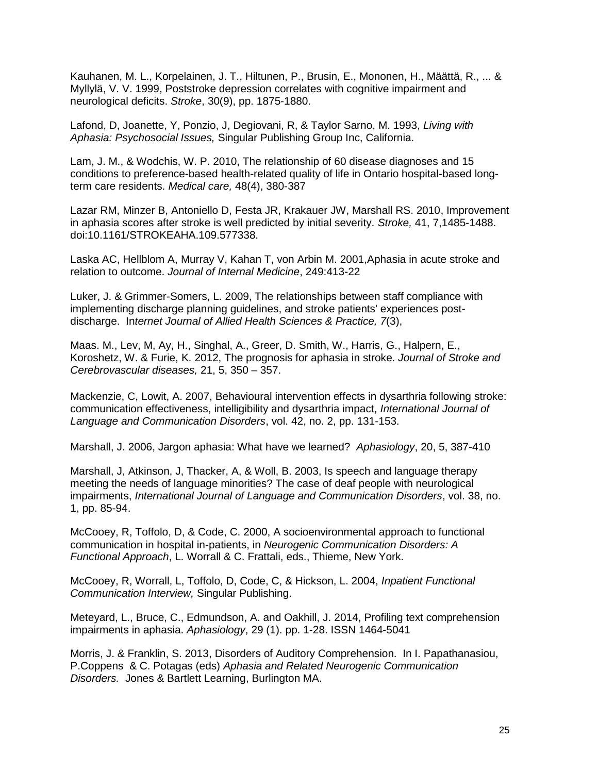Kauhanen, M. L., Korpelainen, J. T., Hiltunen, P., Brusin, E., Mononen, H., Määttä, R., ... & Myllylä, V. V. 1999, Poststroke depression correlates with cognitive impairment and neurological deficits. *Stroke*, 30(9), pp. 1875-1880.

Lafond, D, Joanette, Y, Ponzio, J, Degiovani, R, & Taylor Sarno, M. 1993, *Living with Aphasia: Psychosocial Issues,* Singular Publishing Group Inc, California.

Lam, J. M., & Wodchis, W. P. 2010, The relationship of 60 disease diagnoses and 15 conditions to preference-based health-related quality of life in Ontario hospital-based longterm care residents. *Medical care,* 48(4), 380-387

Lazar RM, Minzer B, Antoniello D, Festa JR, Krakauer JW, Marshall RS. 2010, Improvement in aphasia scores after stroke is well predicted by initial severity. *Stroke,* 41, 7,1485-1488. doi:10.1161/STROKEAHA.109.577338.

Laska AC, Hellblom A, Murray V, Kahan T, von Arbin M. 2001,Aphasia in acute stroke and relation to outcome. *Journal of Internal Medicine*, 249:413-22

Luker, J. & Grimmer-Somers, L. 2009, The relationships between staff compliance with implementing discharge planning guidelines, and stroke patients' experiences postdischarge. In*ternet Journal of Allied Health Sciences & Practice, 7*(3),

Maas. M., Lev, M, Ay, H., Singhal, A., Greer, D. Smith, W., Harris, G., Halpern, E., Koroshetz, W. & Furie, K. 2012, The prognosis for aphasia in stroke. *Journal of Stroke and Cerebrovascular diseases,* 21, 5, 350 – 357.

Mackenzie, C, Lowit, A. 2007, Behavioural intervention effects in dysarthria following stroke: communication effectiveness, intelligibility and dysarthria impact, *International Journal of Language and Communication Disorders*, vol. 42, no. 2, pp. 131-153.

Marshall, J. 2006, Jargon aphasia: What have we learned? *Aphasiology*, 20, 5, 387-410

Marshall, J, Atkinson, J, Thacker, A, & Woll, B. 2003, Is speech and language therapy meeting the needs of language minorities? The case of deaf people with neurological impairments, *International Journal of Language and Communication Disorders*, vol. 38, no. 1, pp. 85-94.

McCooey, R, Toffolo, D, & Code, C. 2000, A socioenvironmental approach to functional communication in hospital in-patients, in *Neurogenic Communication Disorders: A Functional Approach*, L. Worrall & C. Frattali, eds., Thieme, New York.

McCooey, R, Worrall, L, Toffolo, D, Code, C, & Hickson, L. 2004, *Inpatient Functional Communication Interview,* Singular Publishing.

Meteyard, L., Bruce, C., Edmundson, A. and Oakhill, J. 2014, Profiling text comprehension impairments in aphasia. *Aphasiology*, 29 (1). pp. 1-28. ISSN 1464-5041

Morris, J. & Franklin, S. 2013, Disorders of Auditory Comprehension. In I. Papathanasiou, P.Coppens & C. Potagas (eds) *Aphasia and Related Neurogenic Communication Disorders.* Jones & Bartlett Learning, Burlington MA.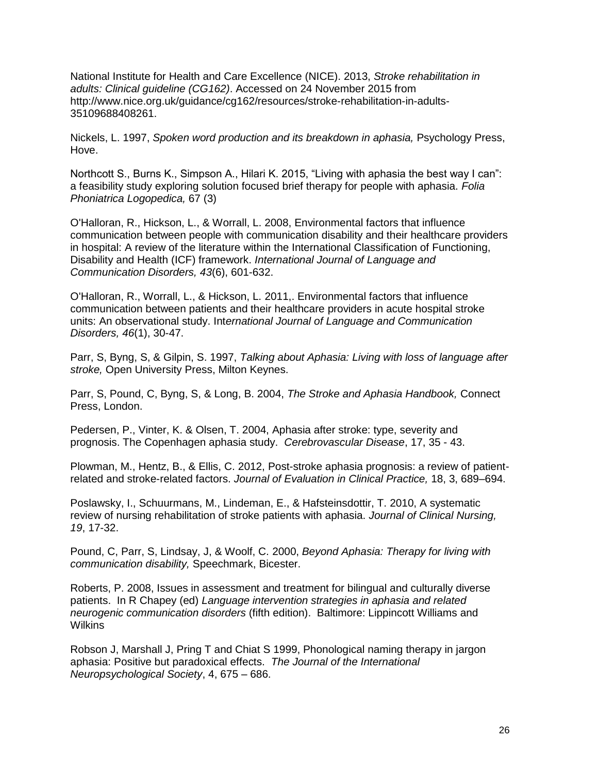National Institute for Health and Care Excellence (NICE). 2013, *Stroke rehabilitation in adults: Clinical guideline (CG162)*. Accessed on 24 November 2015 from http://www.nice.org.uk/guidance/cg162/resources/stroke-rehabilitation-in-adults-35109688408261.

Nickels, L. 1997, *Spoken word production and its breakdown in aphasia,* Psychology Press, Hove.

Northcott S., Burns K., Simpson A., Hilari K. 2015, "Living with aphasia the best way I can": a feasibility study exploring solution focused brief therapy for people with aphasia. *Folia Phoniatrica Logopedica,* 67 (3)

O'Halloran, R., Hickson, L., & Worrall, L. 2008, Environmental factors that influence communication between people with communication disability and their healthcare providers in hospital: A review of the literature within the International Classification of Functioning, Disability and Health (ICF) framework. *International Journal of Language and Communication Disorders, 43*(6), 601-632.

O'Halloran, R., Worrall, L., & Hickson, L. 2011,. Environmental factors that influence communication between patients and their healthcare providers in acute hospital stroke units: An observational study. Int*ernational Journal of Language and Communication Disorders, 46*(1), 30-47.

Parr, S, Byng, S, & Gilpin, S. 1997, *Talking about Aphasia: Living with loss of language after stroke,* Open University Press, Milton Keynes.

Parr, S, Pound, C, Byng, S, & Long, B. 2004, *The Stroke and Aphasia Handbook,* Connect Press, London.

Pedersen, P., Vinter, K. & Olsen, T. 2004, Aphasia after stroke: type, severity and prognosis. The Copenhagen aphasia study. *Cerebrovascular Disease*, 17, 35 - 43.

Plowman, M., Hentz, B., & Ellis, C. 2012, Post-stroke aphasia prognosis: a review of patientrelated and stroke-related factors. *Journal of Evaluation in Clinical Practice,* 18, 3, 689–694.

Poslawsky, I., Schuurmans, M., Lindeman, E., & Hafsteinsdottir, T. 2010, A systematic review of nursing rehabilitation of stroke patients with aphasia. *Journal of Clinical Nursing, 19*, 17-32.

Pound, C, Parr, S, Lindsay, J, & Woolf, C. 2000, *Beyond Aphasia: Therapy for living with communication disability,* Speechmark, Bicester.

Roberts, P. 2008, Issues in assessment and treatment for bilingual and culturally diverse patients. In R Chapey (ed) *Language intervention strategies in aphasia and related neurogenic communication disorders* (fifth edition). Baltimore: Lippincott Williams and **Wilkins** 

Robson J, Marshall J, Pring T and Chiat S 1999, Phonological naming therapy in jargon aphasia: Positive but paradoxical effects. *The Journal of the International Neuropsychological Society*, 4, 675 – 686.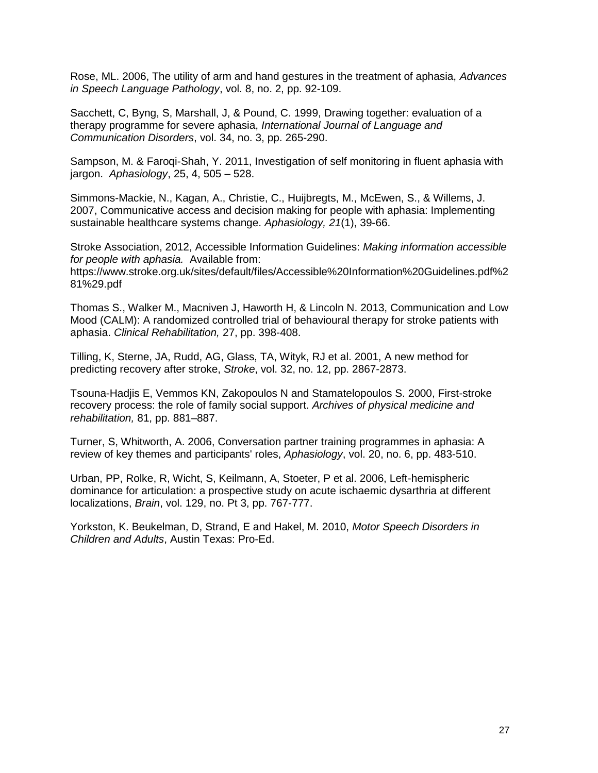Rose, ML. 2006, The utility of arm and hand gestures in the treatment of aphasia, *Advances in Speech Language Pathology*, vol. 8, no. 2, pp. 92-109.

Sacchett, C, Byng, S, Marshall, J, & Pound, C. 1999, Drawing together: evaluation of a therapy programme for severe aphasia, *International Journal of Language and Communication Disorders*, vol. 34, no. 3, pp. 265-290.

Sampson, M. & Faroqi-Shah, Y. 2011, Investigation of self monitoring in fluent aphasia with jargon. *Aphasiology*, 25, 4, 505 – 528.

Simmons-Mackie, N., Kagan, A., Christie, C., Huijbregts, M., McEwen, S., & Willems, J. 2007, Communicative access and decision making for people with aphasia: Implementing sustainable healthcare systems change. *Aphasiology, 21*(1), 39-66.

Stroke Association, 2012, Accessible Information Guidelines: *Making information accessible for people with aphasia.* Available from: https://www.stroke.org.uk/sites/default/files/Accessible%20Information%20Guidelines.pdf%2 81%29.pdf

Thomas S., Walker M., Macniven J, Haworth H, & Lincoln N. 2013, Communication and Low Mood (CALM): A randomized controlled trial of behavioural therapy for stroke patients with aphasia. *Clinical Rehabilitation,* 27, pp. 398-408.

Tilling, K, Sterne, JA, Rudd, AG, Glass, TA, Wityk, RJ et al. 2001, A new method for predicting recovery after stroke, *Stroke*, vol. 32, no. 12, pp. 2867-2873.

Tsouna-Hadjis E, Vemmos KN, Zakopoulos N and Stamatelopoulos S. 2000, First-stroke recovery process: the role of family social support. *Archives of physical medicine and rehabilitation,* 81, pp. 881–887.

Turner, S, Whitworth, A. 2006, Conversation partner training programmes in aphasia: A review of key themes and participants' roles, *Aphasiology*, vol. 20, no. 6, pp. 483-510.

Urban, PP, Rolke, R, Wicht, S, Keilmann, A, Stoeter, P et al. 2006, Left-hemispheric dominance for articulation: a prospective study on acute ischaemic dysarthria at different localizations, *Brain*, vol. 129, no. Pt 3, pp. 767-777.

Yorkston, K. Beukelman, D, Strand, E and Hakel, M. 2010, *Motor Speech Disorders in Children and Adults*, Austin Texas: Pro-Ed.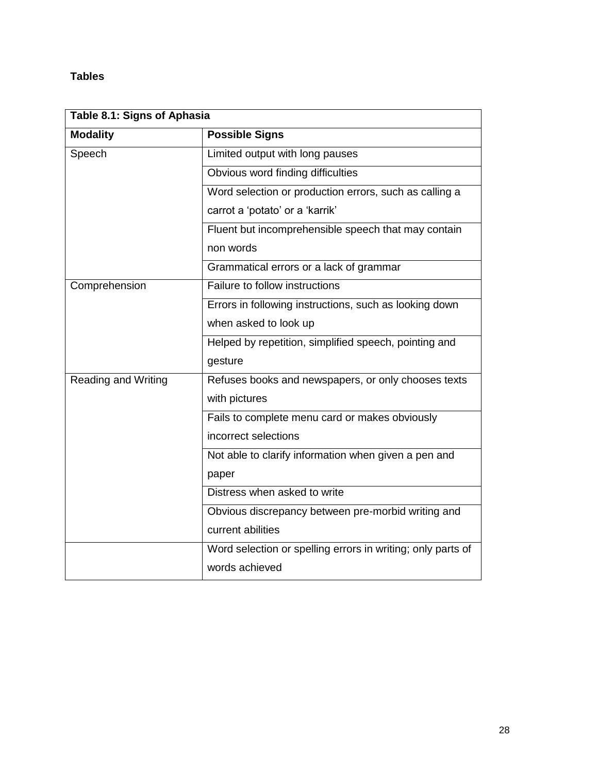# **Tables**

| Table 8.1: Signs of Aphasia |                                                             |  |  |  |
|-----------------------------|-------------------------------------------------------------|--|--|--|
| <b>Modality</b>             | <b>Possible Signs</b>                                       |  |  |  |
| Speech                      | Limited output with long pauses                             |  |  |  |
|                             | Obvious word finding difficulties                           |  |  |  |
|                             | Word selection or production errors, such as calling a      |  |  |  |
|                             | carrot a 'potato' or a 'karrik'                             |  |  |  |
|                             | Fluent but incomprehensible speech that may contain         |  |  |  |
|                             | non words                                                   |  |  |  |
|                             | Grammatical errors or a lack of grammar                     |  |  |  |
| Comprehension               | Failure to follow instructions                              |  |  |  |
|                             | Errors in following instructions, such as looking down      |  |  |  |
|                             | when asked to look up                                       |  |  |  |
|                             | Helped by repetition, simplified speech, pointing and       |  |  |  |
|                             | gesture                                                     |  |  |  |
| <b>Reading and Writing</b>  | Refuses books and newspapers, or only chooses texts         |  |  |  |
|                             | with pictures                                               |  |  |  |
|                             | Fails to complete menu card or makes obviously              |  |  |  |
|                             | incorrect selections                                        |  |  |  |
|                             | Not able to clarify information when given a pen and        |  |  |  |
|                             | paper                                                       |  |  |  |
|                             | Distress when asked to write                                |  |  |  |
|                             | Obvious discrepancy between pre-morbid writing and          |  |  |  |
|                             | current abilities                                           |  |  |  |
|                             | Word selection or spelling errors in writing; only parts of |  |  |  |
|                             | words achieved                                              |  |  |  |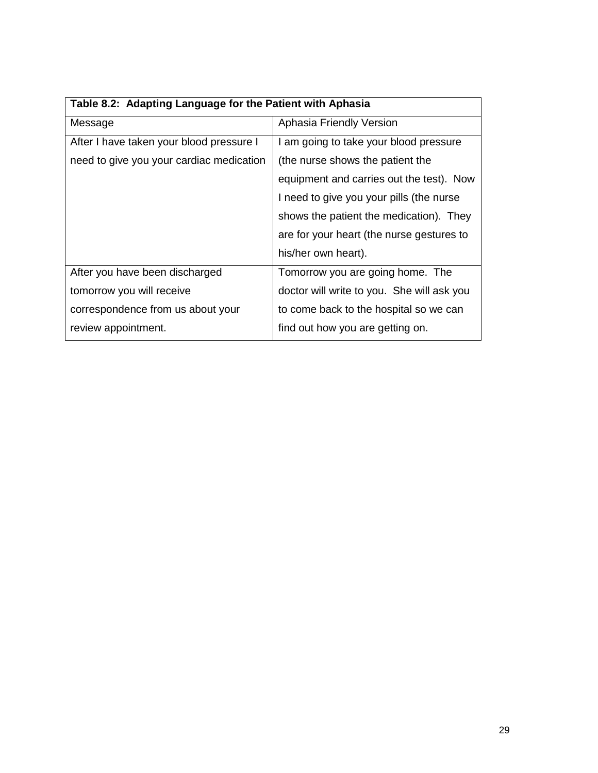| Table 8.2: Adapting Language for the Patient with Aphasia |                                            |  |  |  |
|-----------------------------------------------------------|--------------------------------------------|--|--|--|
| Message                                                   | Aphasia Friendly Version                   |  |  |  |
| After I have taken your blood pressure I                  | I am going to take your blood pressure     |  |  |  |
| need to give you your cardiac medication                  | (the nurse shows the patient the           |  |  |  |
|                                                           | equipment and carries out the test). Now   |  |  |  |
|                                                           | I need to give you your pills (the nurse   |  |  |  |
|                                                           | shows the patient the medication). They    |  |  |  |
|                                                           | are for your heart (the nurse gestures to  |  |  |  |
|                                                           | his/her own heart).                        |  |  |  |
| After you have been discharged                            | Tomorrow you are going home. The           |  |  |  |
| tomorrow you will receive                                 | doctor will write to you. She will ask you |  |  |  |
| correspondence from us about your                         | to come back to the hospital so we can     |  |  |  |
| review appointment.                                       | find out how you are getting on.           |  |  |  |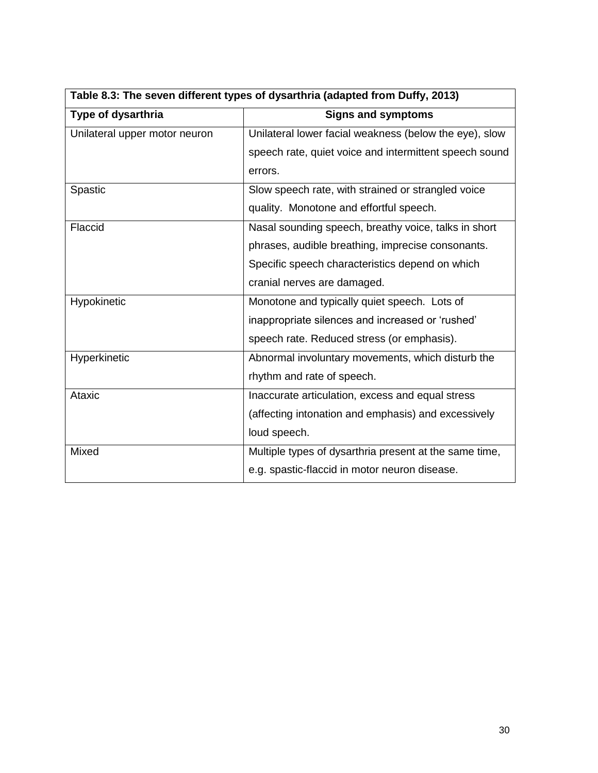| Table 8.3: The seven different types of dysarthria (adapted from Duffy, 2013) |                                                        |  |  |  |
|-------------------------------------------------------------------------------|--------------------------------------------------------|--|--|--|
| Type of dysarthria                                                            | <b>Signs and symptoms</b>                              |  |  |  |
| Unilateral upper motor neuron                                                 | Unilateral lower facial weakness (below the eye), slow |  |  |  |
|                                                                               | speech rate, quiet voice and intermittent speech sound |  |  |  |
|                                                                               | errors.                                                |  |  |  |
| Spastic                                                                       | Slow speech rate, with strained or strangled voice     |  |  |  |
|                                                                               | quality. Monotone and effortful speech.                |  |  |  |
| Flaccid                                                                       | Nasal sounding speech, breathy voice, talks in short   |  |  |  |
|                                                                               | phrases, audible breathing, imprecise consonants.      |  |  |  |
|                                                                               | Specific speech characteristics depend on which        |  |  |  |
|                                                                               | cranial nerves are damaged.                            |  |  |  |
| Hypokinetic                                                                   | Monotone and typically quiet speech. Lots of           |  |  |  |
|                                                                               | inappropriate silences and increased or 'rushed'       |  |  |  |
|                                                                               | speech rate. Reduced stress (or emphasis).             |  |  |  |
| Hyperkinetic                                                                  | Abnormal involuntary movements, which disturb the      |  |  |  |
|                                                                               | rhythm and rate of speech.                             |  |  |  |
| Ataxic                                                                        | Inaccurate articulation, excess and equal stress       |  |  |  |
|                                                                               | (affecting intonation and emphasis) and excessively    |  |  |  |
|                                                                               | loud speech.                                           |  |  |  |
| Mixed                                                                         | Multiple types of dysarthria present at the same time, |  |  |  |
|                                                                               | e.g. spastic-flaccid in motor neuron disease.          |  |  |  |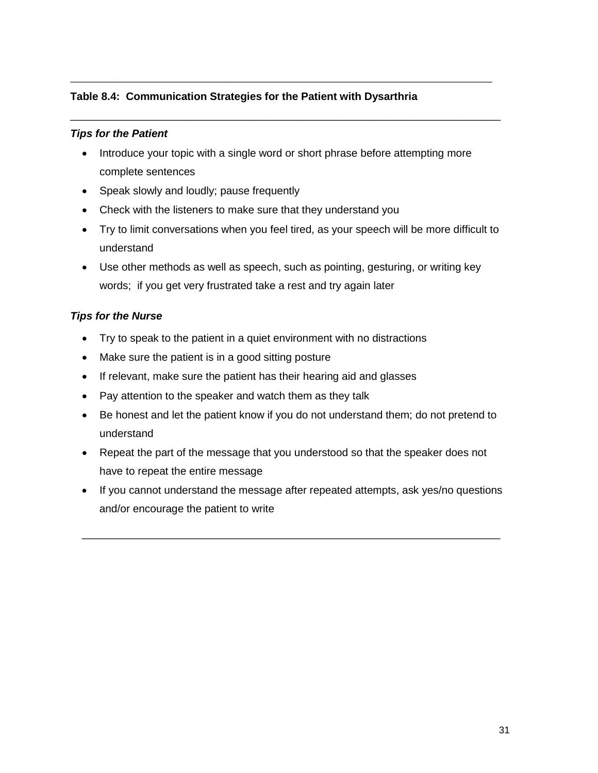# **Table 8.4: Communication Strategies for the Patient with Dysarthria**

# *Tips for the Patient*

• Introduce your topic with a single word or short phrase before attempting more complete sentences

\_\_\_\_\_\_\_\_\_\_\_\_\_\_\_\_\_\_\_\_\_\_\_\_\_\_\_\_\_\_\_\_\_\_\_\_\_\_\_\_\_\_\_\_\_\_\_\_\_\_\_\_\_\_\_\_\_\_\_\_\_\_\_\_\_\_\_\_\_\_\_\_

\_\_\_\_\_\_\_\_\_\_\_\_\_\_\_\_\_\_\_\_\_\_\_\_\_\_\_\_\_\_\_\_\_\_\_\_\_\_\_\_\_\_\_\_\_\_\_\_\_\_\_\_\_\_\_\_\_\_\_\_\_\_\_\_\_\_\_\_\_\_\_\_

- Speak slowly and loudly; pause frequently
- Check with the listeners to make sure that they understand you
- Try to limit conversations when you feel tired, as your speech will be more difficult to understand
- Use other methods as well as speech, such as pointing, gesturing, or writing key words; if you get very frustrated take a rest and try again later

# *Tips for the Nurse*

- Try to speak to the patient in a quiet environment with no distractions
- Make sure the patient is in a good sitting posture
- If relevant, make sure the patient has their hearing aid and glasses
- Pay attention to the speaker and watch them as they talk
- Be honest and let the patient know if you do not understand them; do not pretend to understand
- Repeat the part of the message that you understood so that the speaker does not have to repeat the entire message
- If you cannot understand the message after repeated attempts, ask yes/no questions and/or encourage the patient to write

\_\_\_\_\_\_\_\_\_\_\_\_\_\_\_\_\_\_\_\_\_\_\_\_\_\_\_\_\_\_\_\_\_\_\_\_\_\_\_\_\_\_\_\_\_\_\_\_\_\_\_\_\_\_\_\_\_\_\_\_\_\_\_\_\_\_\_\_\_\_